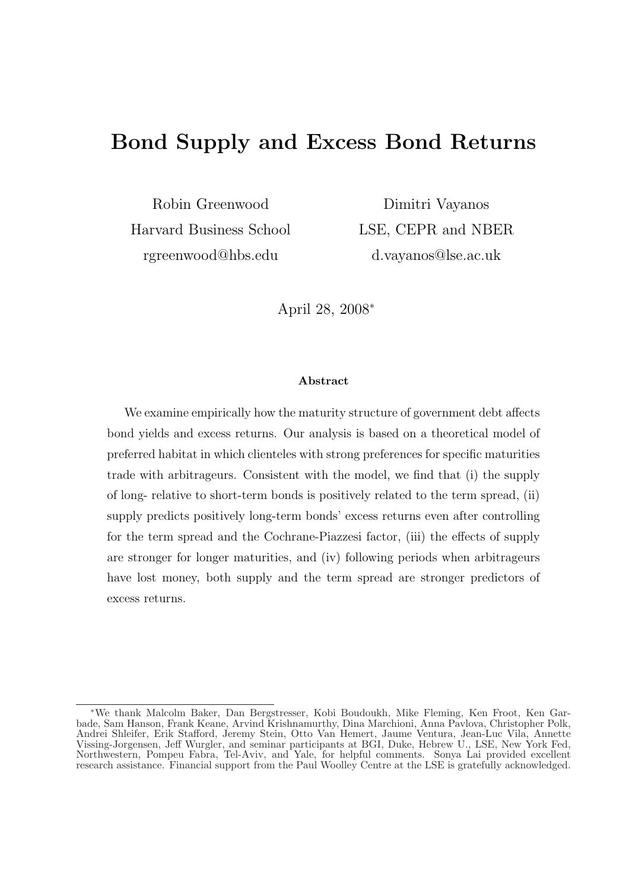# Bond Supply and Excess Bond Returns

Robin Greenwood Harvard Business School rgreenwood@hbs.edu

Dimitri Vayanos LSE, CEPR and NBER d.vayanos@lse.ac.uk

April 28, 2008<sup>∗</sup>

#### Abstract

We examine empirically how the maturity structure of government debt affects bond yields and excess returns. Our analysis is based on a theoretical model of preferred habitat in which clienteles with strong preferences for specific maturities trade with arbitrageurs. Consistent with the model, we find that (i) the supply of long- relative to short-term bonds is positively related to the term spread, (ii) supply predicts positively long-term bonds' excess returns even after controlling for the term spread and the Cochrane-Piazzesi factor, (iii) the effects of supply are stronger for longer maturities, and (iv) following periods when arbitrageurs have lost money, both supply and the term spread are stronger predictors of excess returns.

<sup>∗</sup>We thank Malcolm Baker, Dan Bergstresser, Kobi Boudoukh, Mike Fleming, Ken Froot, Ken Garbade, Sam Hanson, Frank Keane, Arvind Krishnamurthy, Dina Marchioni, Anna Pavlova, Christopher Polk, Andrei Shleifer, Erik Stafford, Jeremy Stein, Otto Van Hemert, Jaume Ventura, Jean-Luc Vila, Annette Vissing-Jorgensen, Jeff Wurgler, and seminar participants at BGI, Duke, Hebrew U., LSE, New York Fed, Northwestern, Pompeu Fabra, Tel-Aviv, and Yale, for helpful comments. Sonya Lai provided excellent research assistance. Financial support from the Paul Woolley Centre at the LSE is gratefully acknowledged.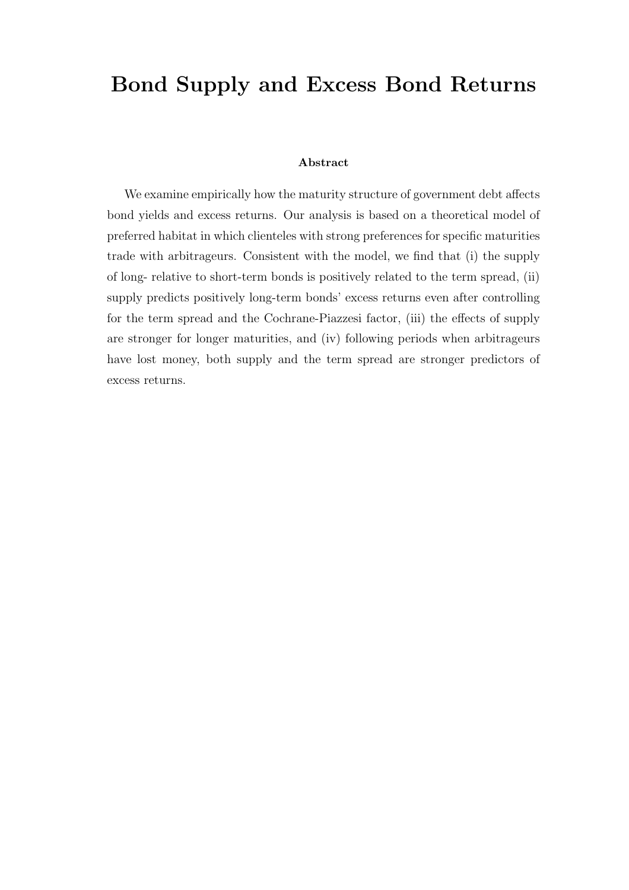# Bond Supply and Excess Bond Returns

#### Abstract

We examine empirically how the maturity structure of government debt affects bond yields and excess returns. Our analysis is based on a theoretical model of preferred habitat in which clienteles with strong preferences for specific maturities trade with arbitrageurs. Consistent with the model, we find that (i) the supply of long- relative to short-term bonds is positively related to the term spread, (ii) supply predicts positively long-term bonds' excess returns even after controlling for the term spread and the Cochrane-Piazzesi factor, (iii) the effects of supply are stronger for longer maturities, and (iv) following periods when arbitrageurs have lost money, both supply and the term spread are stronger predictors of excess returns.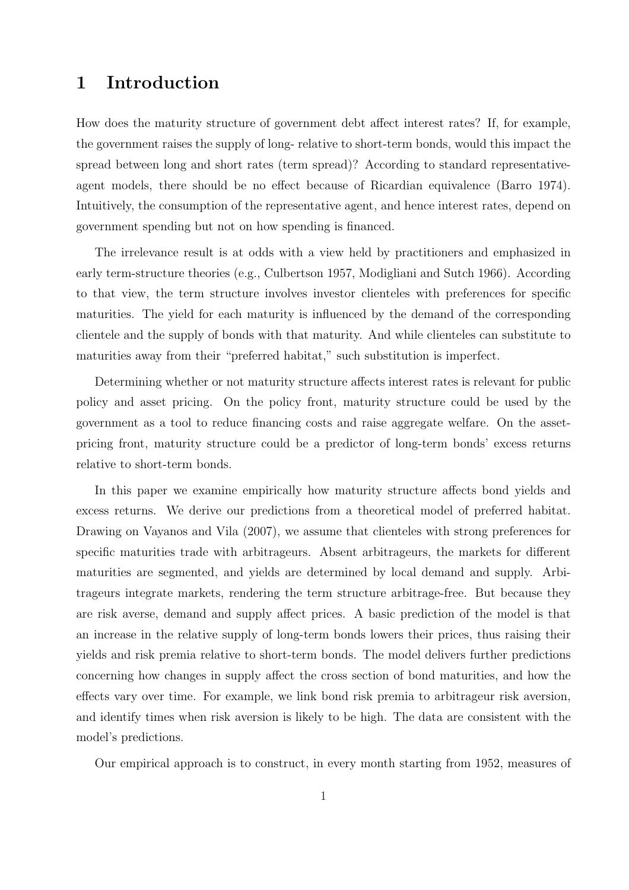# 1 Introduction

How does the maturity structure of government debt affect interest rates? If, for example, the government raises the supply of long- relative to short-term bonds, would this impact the spread between long and short rates (term spread)? According to standard representativeagent models, there should be no effect because of Ricardian equivalence (Barro 1974). Intuitively, the consumption of the representative agent, and hence interest rates, depend on government spending but not on how spending is financed.

The irrelevance result is at odds with a view held by practitioners and emphasized in early term-structure theories (e.g., Culbertson 1957, Modigliani and Sutch 1966). According to that view, the term structure involves investor clienteles with preferences for specific maturities. The yield for each maturity is influenced by the demand of the corresponding clientele and the supply of bonds with that maturity. And while clienteles can substitute to maturities away from their "preferred habitat," such substitution is imperfect.

Determining whether or not maturity structure affects interest rates is relevant for public policy and asset pricing. On the policy front, maturity structure could be used by the government as a tool to reduce financing costs and raise aggregate welfare. On the assetpricing front, maturity structure could be a predictor of long-term bonds' excess returns relative to short-term bonds.

In this paper we examine empirically how maturity structure affects bond yields and excess returns. We derive our predictions from a theoretical model of preferred habitat. Drawing on Vayanos and Vila (2007), we assume that clienteles with strong preferences for specific maturities trade with arbitrageurs. Absent arbitrageurs, the markets for different maturities are segmented, and yields are determined by local demand and supply. Arbitrageurs integrate markets, rendering the term structure arbitrage-free. But because they are risk averse, demand and supply affect prices. A basic prediction of the model is that an increase in the relative supply of long-term bonds lowers their prices, thus raising their yields and risk premia relative to short-term bonds. The model delivers further predictions concerning how changes in supply affect the cross section of bond maturities, and how the effects vary over time. For example, we link bond risk premia to arbitrageur risk aversion, and identify times when risk aversion is likely to be high. The data are consistent with the model's predictions.

Our empirical approach is to construct, in every month starting from 1952, measures of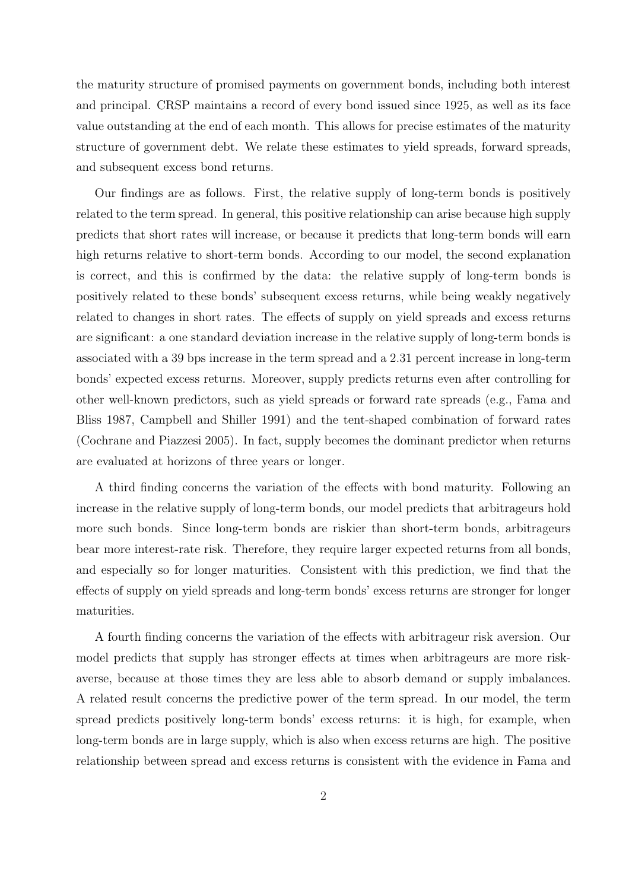the maturity structure of promised payments on government bonds, including both interest and principal. CRSP maintains a record of every bond issued since 1925, as well as its face value outstanding at the end of each month. This allows for precise estimates of the maturity structure of government debt. We relate these estimates to yield spreads, forward spreads, and subsequent excess bond returns.

Our findings are as follows. First, the relative supply of long-term bonds is positively related to the term spread. In general, this positive relationship can arise because high supply predicts that short rates will increase, or because it predicts that long-term bonds will earn high returns relative to short-term bonds. According to our model, the second explanation is correct, and this is confirmed by the data: the relative supply of long-term bonds is positively related to these bonds' subsequent excess returns, while being weakly negatively related to changes in short rates. The effects of supply on yield spreads and excess returns are significant: a one standard deviation increase in the relative supply of long-term bonds is associated with a 39 bps increase in the term spread and a 2.31 percent increase in long-term bonds' expected excess returns. Moreover, supply predicts returns even after controlling for other well-known predictors, such as yield spreads or forward rate spreads (e.g., Fama and Bliss 1987, Campbell and Shiller 1991) and the tent-shaped combination of forward rates (Cochrane and Piazzesi 2005). In fact, supply becomes the dominant predictor when returns are evaluated at horizons of three years or longer.

A third finding concerns the variation of the effects with bond maturity. Following an increase in the relative supply of long-term bonds, our model predicts that arbitrageurs hold more such bonds. Since long-term bonds are riskier than short-term bonds, arbitrageurs bear more interest-rate risk. Therefore, they require larger expected returns from all bonds, and especially so for longer maturities. Consistent with this prediction, we find that the effects of supply on yield spreads and long-term bonds' excess returns are stronger for longer maturities.

A fourth finding concerns the variation of the effects with arbitrageur risk aversion. Our model predicts that supply has stronger effects at times when arbitrageurs are more riskaverse, because at those times they are less able to absorb demand or supply imbalances. A related result concerns the predictive power of the term spread. In our model, the term spread predicts positively long-term bonds' excess returns: it is high, for example, when long-term bonds are in large supply, which is also when excess returns are high. The positive relationship between spread and excess returns is consistent with the evidence in Fama and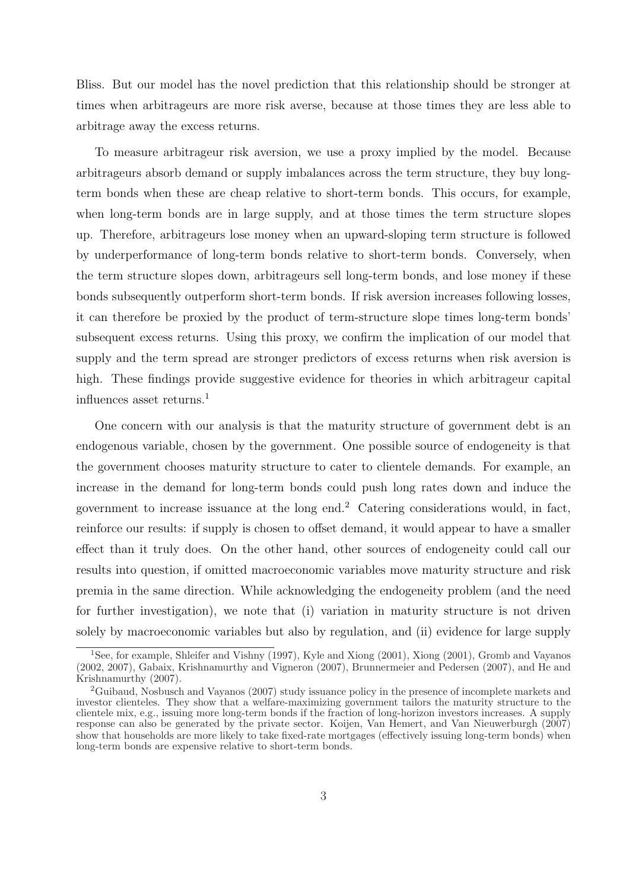Bliss. But our model has the novel prediction that this relationship should be stronger at times when arbitrageurs are more risk averse, because at those times they are less able to arbitrage away the excess returns.

To measure arbitrageur risk aversion, we use a proxy implied by the model. Because arbitrageurs absorb demand or supply imbalances across the term structure, they buy longterm bonds when these are cheap relative to short-term bonds. This occurs, for example, when long-term bonds are in large supply, and at those times the term structure slopes up. Therefore, arbitrageurs lose money when an upward-sloping term structure is followed by underperformance of long-term bonds relative to short-term bonds. Conversely, when the term structure slopes down, arbitrageurs sell long-term bonds, and lose money if these bonds subsequently outperform short-term bonds. If risk aversion increases following losses, it can therefore be proxied by the product of term-structure slope times long-term bonds' subsequent excess returns. Using this proxy, we confirm the implication of our model that supply and the term spread are stronger predictors of excess returns when risk aversion is high. These findings provide suggestive evidence for theories in which arbitrageur capital influences asset returns.<sup>1</sup>

One concern with our analysis is that the maturity structure of government debt is an endogenous variable, chosen by the government. One possible source of endogeneity is that the government chooses maturity structure to cater to clientele demands. For example, an increase in the demand for long-term bonds could push long rates down and induce the government to increase issuance at the long end.<sup>2</sup> Catering considerations would, in fact, reinforce our results: if supply is chosen to offset demand, it would appear to have a smaller effect than it truly does. On the other hand, other sources of endogeneity could call our results into question, if omitted macroeconomic variables move maturity structure and risk premia in the same direction. While acknowledging the endogeneity problem (and the need for further investigation), we note that (i) variation in maturity structure is not driven solely by macroeconomic variables but also by regulation, and (ii) evidence for large supply

<sup>&</sup>lt;sup>1</sup>See, for example, Shleifer and Vishny (1997), Kyle and Xiong (2001), Xiong (2001), Gromb and Vayanos (2002, 2007), Gabaix, Krishnamurthy and Vigneron (2007), Brunnermeier and Pedersen (2007), and He and Krishnamurthy (2007).

<sup>2</sup>Guibaud, Nosbusch and Vayanos (2007) study issuance policy in the presence of incomplete markets and investor clienteles. They show that a welfare-maximizing government tailors the maturity structure to the clientele mix, e.g., issuing more long-term bonds if the fraction of long-horizon investors increases. A supply response can also be generated by the private sector. Koijen, Van Hemert, and Van Nieuwerburgh (2007) show that households are more likely to take fixed-rate mortgages (effectively issuing long-term bonds) when long-term bonds are expensive relative to short-term bonds.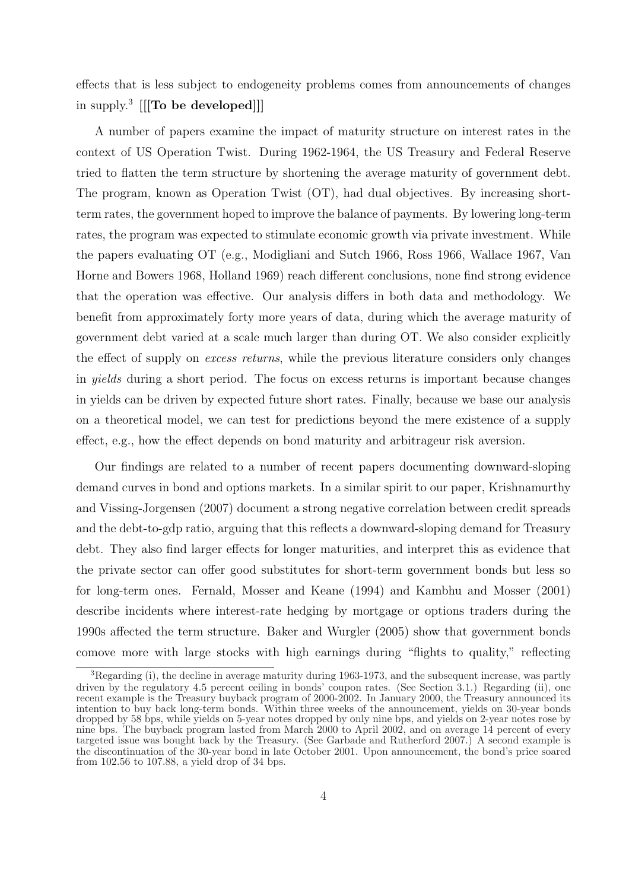effects that is less subject to endogeneity problems comes from announcements of changes in supply.<sup>3</sup> [[To be developed]]]

A number of papers examine the impact of maturity structure on interest rates in the context of US Operation Twist. During 1962-1964, the US Treasury and Federal Reserve tried to flatten the term structure by shortening the average maturity of government debt. The program, known as Operation Twist (OT), had dual objectives. By increasing shortterm rates, the government hoped to improve the balance of payments. By lowering long-term rates, the program was expected to stimulate economic growth via private investment. While the papers evaluating OT (e.g., Modigliani and Sutch 1966, Ross 1966, Wallace 1967, Van Horne and Bowers 1968, Holland 1969) reach different conclusions, none find strong evidence that the operation was effective. Our analysis differs in both data and methodology. We benefit from approximately forty more years of data, during which the average maturity of government debt varied at a scale much larger than during OT. We also consider explicitly the effect of supply on excess returns, while the previous literature considers only changes in yields during a short period. The focus on excess returns is important because changes in yields can be driven by expected future short rates. Finally, because we base our analysis on a theoretical model, we can test for predictions beyond the mere existence of a supply effect, e.g., how the effect depends on bond maturity and arbitrageur risk aversion.

Our findings are related to a number of recent papers documenting downward-sloping demand curves in bond and options markets. In a similar spirit to our paper, Krishnamurthy and Vissing-Jorgensen (2007) document a strong negative correlation between credit spreads and the debt-to-gdp ratio, arguing that this reflects a downward-sloping demand for Treasury debt. They also find larger effects for longer maturities, and interpret this as evidence that the private sector can offer good substitutes for short-term government bonds but less so for long-term ones. Fernald, Mosser and Keane (1994) and Kambhu and Mosser (2001) describe incidents where interest-rate hedging by mortgage or options traders during the 1990s affected the term structure. Baker and Wurgler (2005) show that government bonds comove more with large stocks with high earnings during "flights to quality," reflecting

 ${}^{3}$ Regarding (i), the decline in average maturity during 1963-1973, and the subsequent increase, was partly driven by the regulatory 4.5 percent ceiling in bonds' coupon rates. (See Section 3.1.) Regarding (ii), one recent example is the Treasury buyback program of 2000-2002. In January 2000, the Treasury announced its intention to buy back long-term bonds. Within three weeks of the announcement, yields on 30-year bonds dropped by 58 bps, while yields on 5-year notes dropped by only nine bps, and yields on 2-year notes rose by nine bps. The buyback program lasted from March 2000 to April 2002, and on average 14 percent of every targeted issue was bought back by the Treasury. (See Garbade and Rutherford 2007.) A second example is the discontinuation of the 30-year bond in late October 2001. Upon announcement, the bond's price soared from 102.56 to 107.88, a yield drop of 34 bps.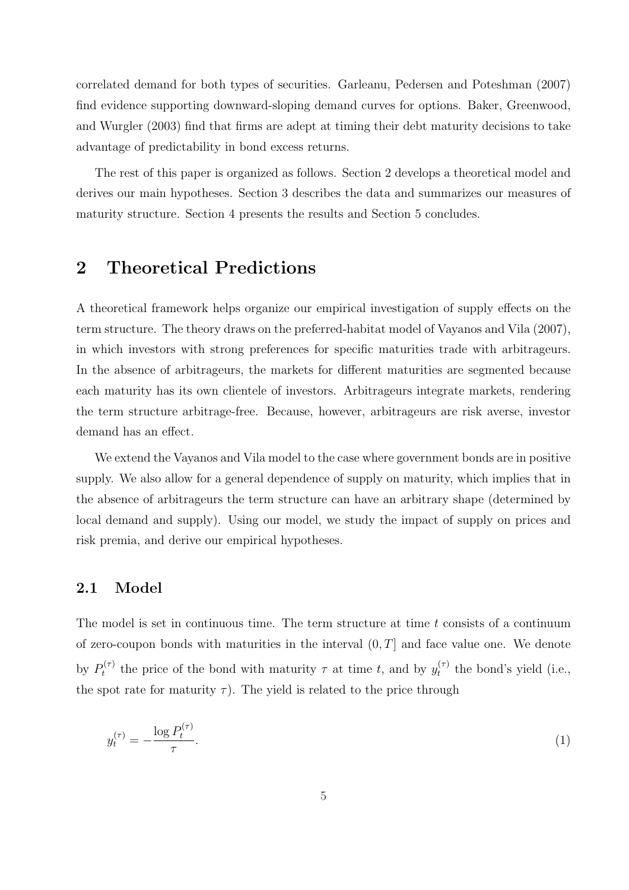correlated demand for both types of securities. Garleanu, Pedersen and Poteshman (2007) find evidence supporting downward-sloping demand curves for options. Baker, Greenwood, and Wurgler (2003) find that firms are adept at timing their debt maturity decisions to take advantage of predictability in bond excess returns.

The rest of this paper is organized as follows. Section 2 develops a theoretical model and derives our main hypotheses. Section 3 describes the data and summarizes our measures of maturity structure. Section 4 presents the results and Section 5 concludes.

# 2 Theoretical Predictions

A theoretical framework helps organize our empirical investigation of supply effects on the term structure. The theory draws on the preferred-habitat model of Vayanos and Vila (2007), in which investors with strong preferences for specific maturities trade with arbitrageurs. In the absence of arbitrageurs, the markets for different maturities are segmented because each maturity has its own clientele of investors. Arbitrageurs integrate markets, rendering the term structure arbitrage-free. Because, however, arbitrageurs are risk averse, investor demand has an effect.

We extend the Vayanos and Vila model to the case where government bonds are in positive supply. We also allow for a general dependence of supply on maturity, which implies that in the absence of arbitrageurs the term structure can have an arbitrary shape (determined by local demand and supply). Using our model, we study the impact of supply on prices and risk premia, and derive our empirical hypotheses.

## 2.1 Model

The model is set in continuous time. The term structure at time t consists of a continuum of zero-coupon bonds with maturities in the interval  $(0, T]$  and face value one. We denote by  $P_t^{(\tau)}$  $y_t^{(\tau)}$  the price of the bond with maturity  $\tau$  at time t, and by  $y_t^{(\tau)}$  $t_t^{(\tau)}$  the bond's yield (i.e., the spot rate for maturity  $\tau$ ). The yield is related to the price through

$$
y_t^{(\tau)} = -\frac{\log P_t^{(\tau)}}{\tau}.\tag{1}
$$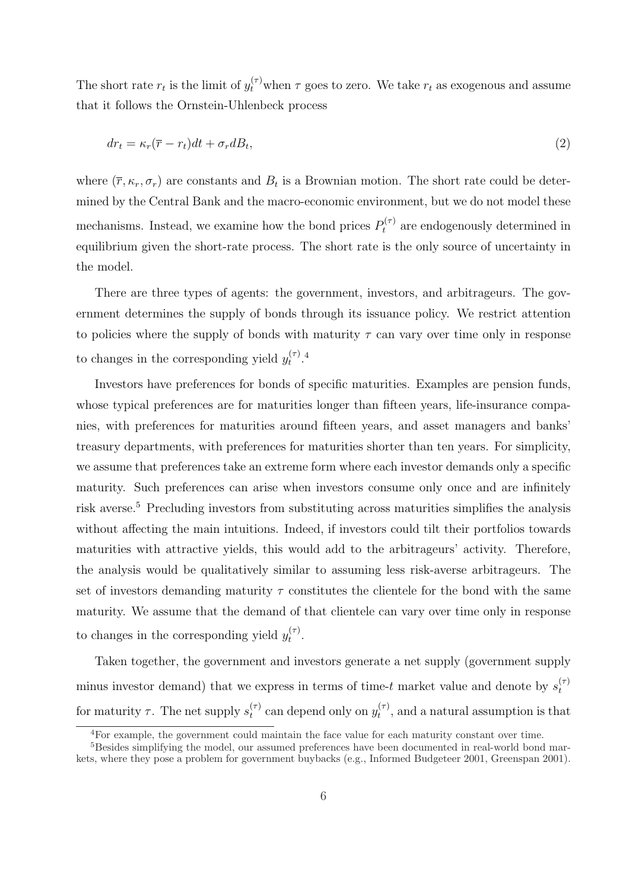The short rate  $r_t$  is the limit of  $y_t^{(\tau)}$  when  $\tau$  goes to zero. We take  $r_t$  as exogenous and assume that it follows the Ornstein-Uhlenbeck process

$$
dr_t = \kappa_r(\overline{r} - r_t)dt + \sigma_r dB_t,\tag{2}
$$

where  $(\bar{r}, \kappa_r, \sigma_r)$  are constants and  $B_t$  is a Brownian motion. The short rate could be determined by the Central Bank and the macro-economic environment, but we do not model these mechanisms. Instead, we examine how the bond prices  $P_t^{(\tau)}$  are endogenously determined in equilibrium given the short-rate process. The short rate is the only source of uncertainty in the model.

There are three types of agents: the government, investors, and arbitrageurs. The government determines the supply of bonds through its issuance policy. We restrict attention to policies where the supply of bonds with maturity  $\tau$  can vary over time only in response to changes in the corresponding yield  $y_t^{(\tau)}$  $\frac{(\tau)}{t}$ .<sup>4</sup>

Investors have preferences for bonds of specific maturities. Examples are pension funds, whose typical preferences are for maturities longer than fifteen years, life-insurance companies, with preferences for maturities around fifteen years, and asset managers and banks' treasury departments, with preferences for maturities shorter than ten years. For simplicity, we assume that preferences take an extreme form where each investor demands only a specific maturity. Such preferences can arise when investors consume only once and are infinitely risk averse.<sup>5</sup> Precluding investors from substituting across maturities simplifies the analysis without affecting the main intuitions. Indeed, if investors could tilt their portfolios towards maturities with attractive yields, this would add to the arbitrageurs' activity. Therefore, the analysis would be qualitatively similar to assuming less risk-averse arbitrageurs. The set of investors demanding maturity  $\tau$  constitutes the clientele for the bond with the same maturity. We assume that the demand of that clientele can vary over time only in response to changes in the corresponding yield  $y_t^{(\tau)}$  $\frac{(\tau)}{t}$ .

Taken together, the government and investors generate a net supply (government supply minus investor demand) that we express in terms of time-t market value and denote by  $s_t^{(\tau)}$ t for maturity  $\tau$ . The net supply  $s_t^{(\tau)}$  $t_t^{(\tau)}$  can depend only on  $y_t^{(\tau)}$  $t^{(\tau)}$ , and a natural assumption is that

<sup>&</sup>lt;sup>4</sup>For example, the government could maintain the face value for each maturity constant over time.

<sup>&</sup>lt;sup>5</sup>Besides simplifying the model, our assumed preferences have been documented in real-world bond markets, where they pose a problem for government buybacks (e.g., Informed Budgeteer 2001, Greenspan 2001).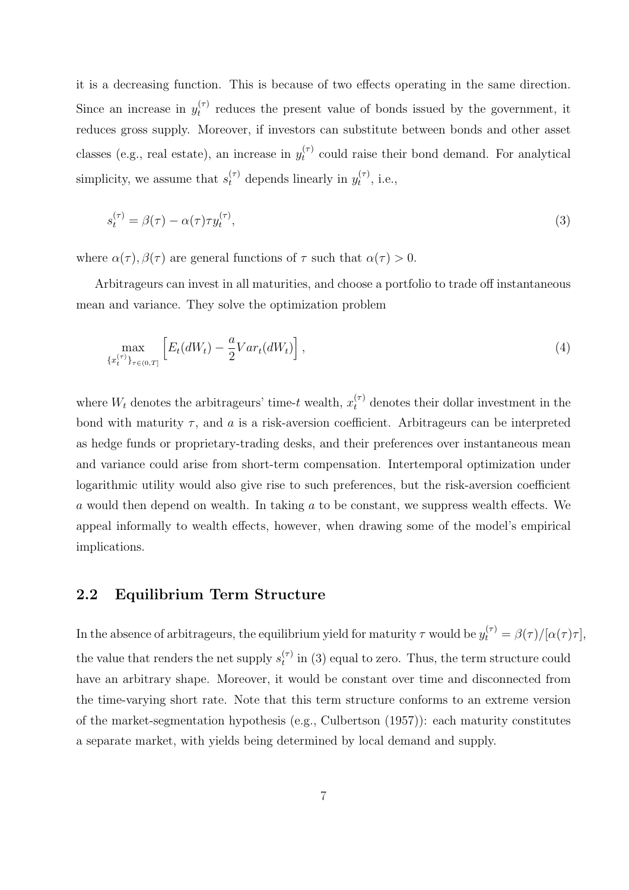it is a decreasing function. This is because of two effects operating in the same direction. Since an increase in  $y_t^{(\tau)}$  $t_t^{(\tau)}$  reduces the present value of bonds issued by the government, it reduces gross supply. Moreover, if investors can substitute between bonds and other asset classes (e.g., real estate), an increase in  $y_t^{(\tau)}$  $t<sub>t</sub><sup>(7)</sup>$  could raise their bond demand. For analytical simplicity, we assume that  $s_t^{(\tau)}$  depends linearly in  $y_t^{(\tau)}$  $t^{\tau}$ , i.e.,

$$
s_t^{(\tau)} = \beta(\tau) - \alpha(\tau)\tau y_t^{(\tau)},\tag{3}
$$

where  $\alpha(\tau)$ ,  $\beta(\tau)$  are general functions of  $\tau$  such that  $\alpha(\tau) > 0$ .

Arbitrageurs can invest in all maturities, and choose a portfolio to trade off instantaneous mean and variance. They solve the optimization problem

$$
\max_{\{x_t^{(\tau)}\}_{\tau \in (0,T]}} \left[ E_t(dW_t) - \frac{a}{2} Var_t(dW_t) \right],\tag{4}
$$

where  $W_t$  denotes the arbitrageurs' time-t wealth,  $x_t^{(\tau)}$  denotes their dollar investment in the bond with maturity  $\tau$ , and a is a risk-aversion coefficient. Arbitrageurs can be interpreted as hedge funds or proprietary-trading desks, and their preferences over instantaneous mean and variance could arise from short-term compensation. Intertemporal optimization under logarithmic utility would also give rise to such preferences, but the risk-aversion coefficient a would then depend on wealth. In taking a to be constant, we suppress wealth effects. We appeal informally to wealth effects, however, when drawing some of the model's empirical implications.

## 2.2 Equilibrium Term Structure

In the absence of arbitrageurs, the equilibrium yield for maturity  $\tau$  would be  $y_t^{(\tau)} = \beta(\tau)/[\alpha(\tau)\tau]$ , the value that renders the net supply  $s_t^{(\tau)}$  $t<sup>(7)</sup>$  in (3) equal to zero. Thus, the term structure could have an arbitrary shape. Moreover, it would be constant over time and disconnected from the time-varying short rate. Note that this term structure conforms to an extreme version of the market-segmentation hypothesis (e.g., Culbertson (1957)): each maturity constitutes a separate market, with yields being determined by local demand and supply.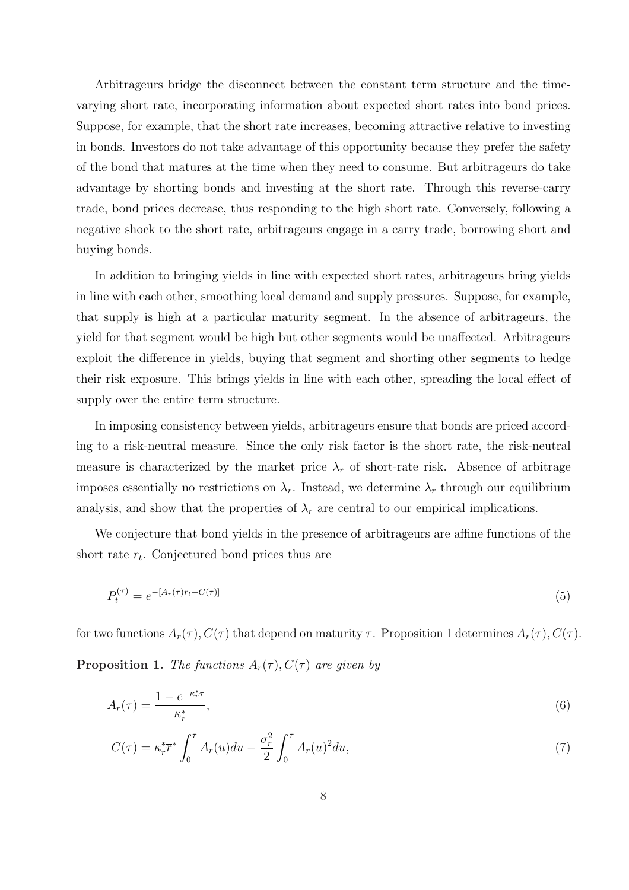Arbitrageurs bridge the disconnect between the constant term structure and the timevarying short rate, incorporating information about expected short rates into bond prices. Suppose, for example, that the short rate increases, becoming attractive relative to investing in bonds. Investors do not take advantage of this opportunity because they prefer the safety of the bond that matures at the time when they need to consume. But arbitrageurs do take advantage by shorting bonds and investing at the short rate. Through this reverse-carry trade, bond prices decrease, thus responding to the high short rate. Conversely, following a negative shock to the short rate, arbitrageurs engage in a carry trade, borrowing short and buying bonds.

In addition to bringing yields in line with expected short rates, arbitrageurs bring yields in line with each other, smoothing local demand and supply pressures. Suppose, for example, that supply is high at a particular maturity segment. In the absence of arbitrageurs, the yield for that segment would be high but other segments would be unaffected. Arbitrageurs exploit the difference in yields, buying that segment and shorting other segments to hedge their risk exposure. This brings yields in line with each other, spreading the local effect of supply over the entire term structure.

In imposing consistency between yields, arbitrageurs ensure that bonds are priced according to a risk-neutral measure. Since the only risk factor is the short rate, the risk-neutral measure is characterized by the market price  $\lambda_r$  of short-rate risk. Absence of arbitrage imposes essentially no restrictions on  $\lambda_r$ . Instead, we determine  $\lambda_r$  through our equilibrium analysis, and show that the properties of  $\lambda_r$  are central to our empirical implications.

We conjecture that bond yields in the presence of arbitrageurs are affine functions of the short rate  $r_t$ . Conjectured bond prices thus are

$$
P_t^{(\tau)} = e^{-[A_r(\tau)r_t + C(\tau)]}
$$
\n(5)

for two functions  $A_r(\tau)$ ,  $C(\tau)$  that depend on maturity  $\tau$ . Proposition 1 determines  $A_r(\tau)$ ,  $C(\tau)$ .

**Proposition 1.** The functions  $A_r(\tau)$ ,  $C(\tau)$  are given by

$$
A_r(\tau) = \frac{1 - e^{-\kappa_r^* \tau}}{\kappa_r^*},\tag{6}
$$

$$
C(\tau) = \kappa_r^* \overline{r}^* \int_0^{\tau} A_r(u) du - \frac{\sigma_r^2}{2} \int_0^{\tau} A_r(u)^2 du,
$$
 (7)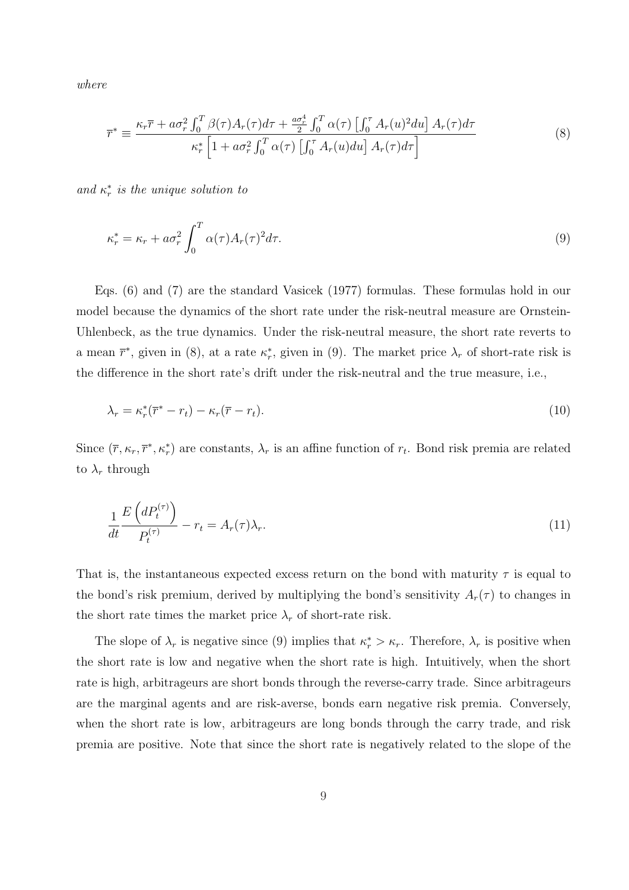where

$$
\overline{r}^* \equiv \frac{\kappa_r \overline{r} + a\sigma_r^2 \int_0^T \beta(\tau) A_r(\tau) d\tau + \frac{a\sigma_r^4}{2} \int_0^T \alpha(\tau) \left[ \int_0^{\tau} A_r(u)^2 du \right] A_r(\tau) d\tau}{\kappa_r^* \left[ 1 + a\sigma_r^2 \int_0^T \alpha(\tau) \left[ \int_0^{\tau} A_r(u) du \right] A_r(\tau) d\tau \right]}
$$
\n(8)

and  $\kappa_r^*$  is the unique solution to

$$
\kappa_r^* = \kappa_r + a\sigma_r^2 \int_0^T \alpha(\tau) A_r(\tau)^2 d\tau.
$$
\n(9)

Eqs. (6) and (7) are the standard Vasicek (1977) formulas. These formulas hold in our model because the dynamics of the short rate under the risk-neutral measure are Ornstein-Uhlenbeck, as the true dynamics. Under the risk-neutral measure, the short rate reverts to a mean  $\bar{r}^*$ , given in (8), at a rate  $\kappa^*$ , given in (9). The market price  $\lambda_r$  of short-rate risk is the difference in the short rate's drift under the risk-neutral and the true measure, i.e.,

$$
\lambda_r = \kappa_r^*(\overline{r}^* - r_t) - \kappa_r(\overline{r} - r_t). \tag{10}
$$

Since  $(\bar{r}, \kappa_r, \bar{r}^*, \kappa_r^*)$  are constants,  $\lambda_r$  is an affine function of  $r_t$ . Bond risk premia are related to  $\lambda_r$  through

$$
\frac{1}{dt} \frac{E\left(dP_t^{(\tau)}\right)}{P_t^{(\tau)}} - r_t = A_r(\tau)\lambda_r. \tag{11}
$$

That is, the instantaneous expected excess return on the bond with maturity  $\tau$  is equal to the bond's risk premium, derived by multiplying the bond's sensitivity  $A_r(\tau)$  to changes in the short rate times the market price  $\lambda_r$  of short-rate risk.

The slope of  $\lambda_r$  is negative since (9) implies that  $\kappa_r^* > \kappa_r$ . Therefore,  $\lambda_r$  is positive when the short rate is low and negative when the short rate is high. Intuitively, when the short rate is high, arbitrageurs are short bonds through the reverse-carry trade. Since arbitrageurs are the marginal agents and are risk-averse, bonds earn negative risk premia. Conversely, when the short rate is low, arbitrageurs are long bonds through the carry trade, and risk premia are positive. Note that since the short rate is negatively related to the slope of the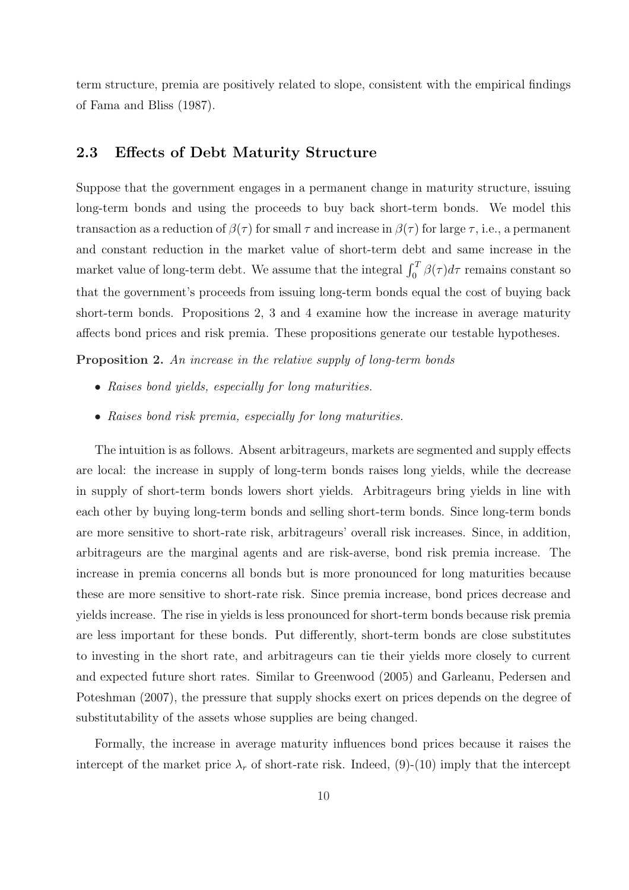term structure, premia are positively related to slope, consistent with the empirical findings of Fama and Bliss (1987).

## 2.3 Effects of Debt Maturity Structure

Suppose that the government engages in a permanent change in maturity structure, issuing long-term bonds and using the proceeds to buy back short-term bonds. We model this transaction as a reduction of  $\beta(\tau)$  for small  $\tau$  and increase in  $\beta(\tau)$  for large  $\tau$ , i.e., a permanent and constant reduction in the market value of short-term debt and same increase in the market value of long-term debt. We assume that the integral  $\int_0^T \beta(\tau) d\tau$  remains constant so that the government's proceeds from issuing long-term bonds equal the cost of buying back short-term bonds. Propositions 2, 3 and 4 examine how the increase in average maturity affects bond prices and risk premia. These propositions generate our testable hypotheses.

Proposition 2. An increase in the relative supply of long-term bonds

- Raises bond yields, especially for long maturities.
- Raises bond risk premia, especially for long maturities.

The intuition is as follows. Absent arbitrageurs, markets are segmented and supply effects are local: the increase in supply of long-term bonds raises long yields, while the decrease in supply of short-term bonds lowers short yields. Arbitrageurs bring yields in line with each other by buying long-term bonds and selling short-term bonds. Since long-term bonds are more sensitive to short-rate risk, arbitrageurs' overall risk increases. Since, in addition, arbitrageurs are the marginal agents and are risk-averse, bond risk premia increase. The increase in premia concerns all bonds but is more pronounced for long maturities because these are more sensitive to short-rate risk. Since premia increase, bond prices decrease and yields increase. The rise in yields is less pronounced for short-term bonds because risk premia are less important for these bonds. Put differently, short-term bonds are close substitutes to investing in the short rate, and arbitrageurs can tie their yields more closely to current and expected future short rates. Similar to Greenwood (2005) and Garleanu, Pedersen and Poteshman (2007), the pressure that supply shocks exert on prices depends on the degree of substitutability of the assets whose supplies are being changed.

Formally, the increase in average maturity influences bond prices because it raises the intercept of the market price  $\lambda_r$  of short-rate risk. Indeed, (9)-(10) imply that the intercept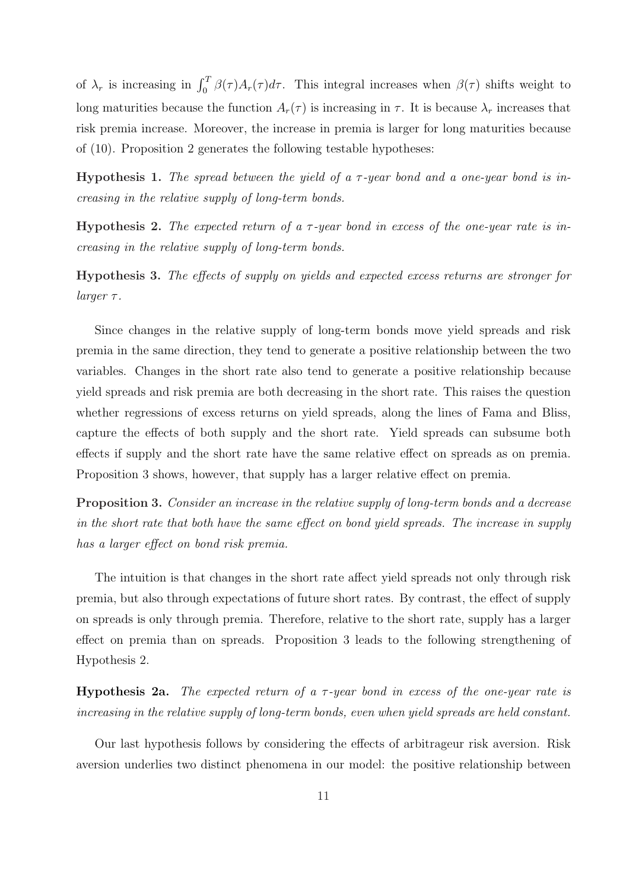of  $\lambda_r$  is increasing in  $\int_0^T \beta(\tau)A_r(\tau)d\tau$ . This integral increases when  $\beta(\tau)$  shifts weight to long maturities because the function  $A_r(\tau)$  is increasing in  $\tau$ . It is because  $\lambda_r$  increases that risk premia increase. Moreover, the increase in premia is larger for long maturities because of (10). Proposition 2 generates the following testable hypotheses:

**Hypothesis 1.** The spread between the yield of a  $\tau$ -year bond and a one-year bond is increasing in the relative supply of long-term bonds.

Hypothesis 2. The expected return of a  $\tau$ -year bond in excess of the one-year rate is increasing in the relative supply of long-term bonds.

Hypothesis 3. The effects of supply on yields and expected excess returns are stronger for  $larger \tau$ .

Since changes in the relative supply of long-term bonds move yield spreads and risk premia in the same direction, they tend to generate a positive relationship between the two variables. Changes in the short rate also tend to generate a positive relationship because yield spreads and risk premia are both decreasing in the short rate. This raises the question whether regressions of excess returns on yield spreads, along the lines of Fama and Bliss, capture the effects of both supply and the short rate. Yield spreads can subsume both effects if supply and the short rate have the same relative effect on spreads as on premia. Proposition 3 shows, however, that supply has a larger relative effect on premia.

Proposition 3. Consider an increase in the relative supply of long-term bonds and a decrease in the short rate that both have the same effect on bond yield spreads. The increase in supply has a larger effect on bond risk premia.

The intuition is that changes in the short rate affect yield spreads not only through risk premia, but also through expectations of future short rates. By contrast, the effect of supply on spreads is only through premia. Therefore, relative to the short rate, supply has a larger effect on premia than on spreads. Proposition 3 leads to the following strengthening of Hypothesis 2.

**Hypothesis 2a.** The expected return of a  $\tau$ -year bond in excess of the one-year rate is increasing in the relative supply of long-term bonds, even when yield spreads are held constant.

Our last hypothesis follows by considering the effects of arbitrageur risk aversion. Risk aversion underlies two distinct phenomena in our model: the positive relationship between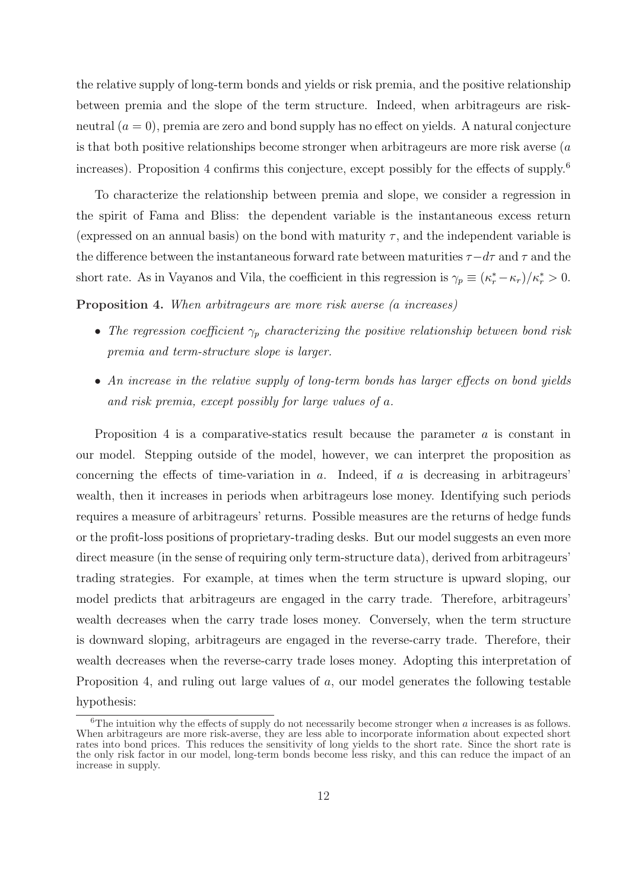the relative supply of long-term bonds and yields or risk premia, and the positive relationship between premia and the slope of the term structure. Indeed, when arbitrageurs are riskneutral  $(a = 0)$ , premia are zero and bond supply has no effect on yields. A natural conjecture is that both positive relationships become stronger when arbitrageurs are more risk averse (a increases). Proposition 4 confirms this conjecture, except possibly for the effects of supply.<sup>6</sup>

To characterize the relationship between premia and slope, we consider a regression in the spirit of Fama and Bliss: the dependent variable is the instantaneous excess return (expressed on an annual basis) on the bond with maturity  $\tau$ , and the independent variable is the difference between the instantaneous forward rate between maturities  $\tau - d\tau$  and  $\tau$  and the short rate. As in Vayanos and Vila, the coefficient in this regression is  $\gamma_p \equiv (\kappa_r^* - \kappa_r)/\kappa_r^* > 0$ .

Proposition 4. When arbitrageurs are more risk averse (a increases)

- The regression coefficient  $\gamma_p$  characterizing the positive relationship between bond risk premia and term-structure slope is larger.
- An increase in the relative supply of long-term bonds has larger effects on bond yields and risk premia, except possibly for large values of a.

Proposition 4 is a comparative-statics result because the parameter a is constant in our model. Stepping outside of the model, however, we can interpret the proposition as concerning the effects of time-variation in  $a$ . Indeed, if  $a$  is decreasing in arbitrageurs' wealth, then it increases in periods when arbitrageurs lose money. Identifying such periods requires a measure of arbitrageurs' returns. Possible measures are the returns of hedge funds or the profit-loss positions of proprietary-trading desks. But our model suggests an even more direct measure (in the sense of requiring only term-structure data), derived from arbitrageurs' trading strategies. For example, at times when the term structure is upward sloping, our model predicts that arbitrageurs are engaged in the carry trade. Therefore, arbitrageurs' wealth decreases when the carry trade loses money. Conversely, when the term structure is downward sloping, arbitrageurs are engaged in the reverse-carry trade. Therefore, their wealth decreases when the reverse-carry trade loses money. Adopting this interpretation of Proposition 4, and ruling out large values of a, our model generates the following testable hypothesis:

 $6$ The intuition why the effects of supply do not necessarily become stronger when a increases is as follows. When arbitrageurs are more risk-averse, they are less able to incorporate information about expected short rates into bond prices. This reduces the sensitivity of long yields to the short rate. Since the short rate is the only risk factor in our model, long-term bonds become less risky, and this can reduce the impact of an increase in supply.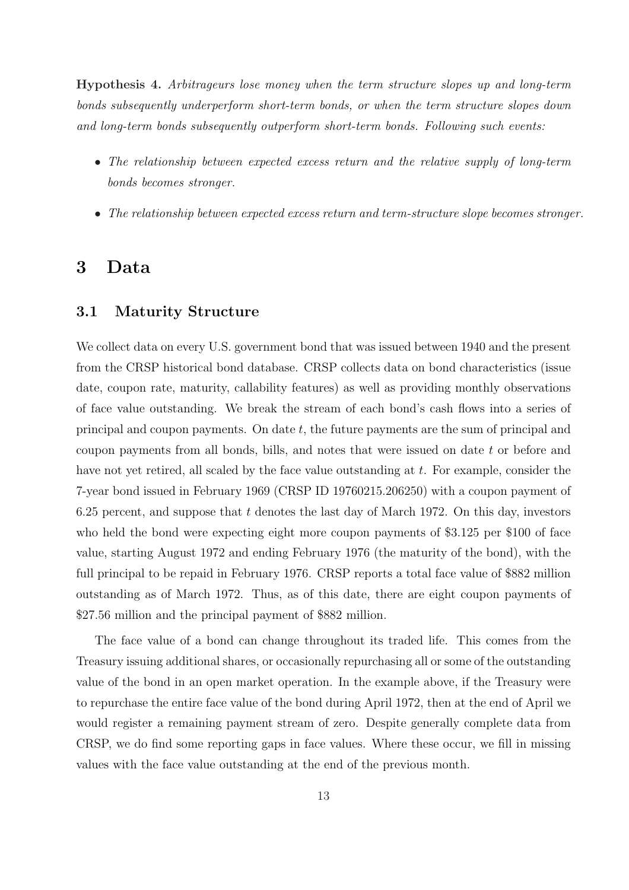Hypothesis 4. Arbitrageurs lose money when the term structure slopes up and long-term bonds subsequently underperform short-term bonds, or when the term structure slopes down and long-term bonds subsequently outperform short-term bonds. Following such events:

- The relationship between expected excess return and the relative supply of long-term bonds becomes stronger.
- The relationship between expected excess return and term-structure slope becomes stronger.

# 3 Data

## 3.1 Maturity Structure

We collect data on every U.S. government bond that was issued between 1940 and the present from the CRSP historical bond database. CRSP collects data on bond characteristics (issue date, coupon rate, maturity, callability features) as well as providing monthly observations of face value outstanding. We break the stream of each bond's cash flows into a series of principal and coupon payments. On date  $t$ , the future payments are the sum of principal and coupon payments from all bonds, bills, and notes that were issued on date t or before and have not yet retired, all scaled by the face value outstanding at t. For example, consider the 7-year bond issued in February 1969 (CRSP ID 19760215.206250) with a coupon payment of 6.25 percent, and suppose that  $t$  denotes the last day of March 1972. On this day, investors who held the bond were expecting eight more coupon payments of \$3.125 per \$100 of face value, starting August 1972 and ending February 1976 (the maturity of the bond), with the full principal to be repaid in February 1976. CRSP reports a total face value of \$882 million outstanding as of March 1972. Thus, as of this date, there are eight coupon payments of \$27.56 million and the principal payment of \$882 million.

The face value of a bond can change throughout its traded life. This comes from the Treasury issuing additional shares, or occasionally repurchasing all or some of the outstanding value of the bond in an open market operation. In the example above, if the Treasury were to repurchase the entire face value of the bond during April 1972, then at the end of April we would register a remaining payment stream of zero. Despite generally complete data from CRSP, we do find some reporting gaps in face values. Where these occur, we fill in missing values with the face value outstanding at the end of the previous month.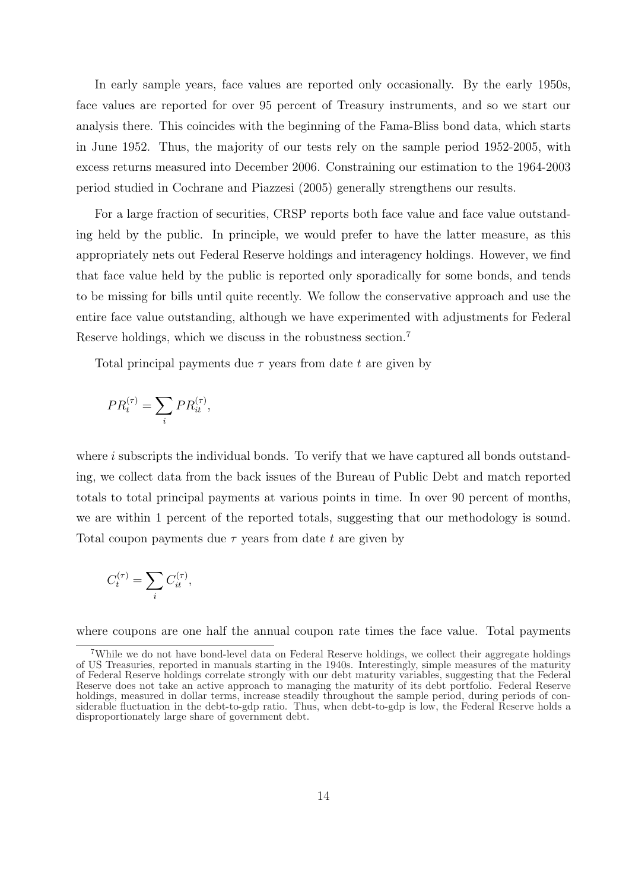In early sample years, face values are reported only occasionally. By the early 1950s, face values are reported for over 95 percent of Treasury instruments, and so we start our analysis there. This coincides with the beginning of the Fama-Bliss bond data, which starts in June 1952. Thus, the majority of our tests rely on the sample period 1952-2005, with excess returns measured into December 2006. Constraining our estimation to the 1964-2003 period studied in Cochrane and Piazzesi (2005) generally strengthens our results.

For a large fraction of securities, CRSP reports both face value and face value outstanding held by the public. In principle, we would prefer to have the latter measure, as this appropriately nets out Federal Reserve holdings and interagency holdings. However, we find that face value held by the public is reported only sporadically for some bonds, and tends to be missing for bills until quite recently. We follow the conservative approach and use the entire face value outstanding, although we have experimented with adjustments for Federal Reserve holdings, which we discuss in the robustness section.<sup>7</sup>

Total principal payments due  $\tau$  years from date t are given by

$$
PR_t^{(\tau)} = \sum_i PR_{it}^{(\tau)},
$$

where  $i$  subscripts the individual bonds. To verify that we have captured all bonds outstanding, we collect data from the back issues of the Bureau of Public Debt and match reported totals to total principal payments at various points in time. In over 90 percent of months, we are within 1 percent of the reported totals, suggesting that our methodology is sound. Total coupon payments due  $\tau$  years from date t are given by

$$
C_t^{(\tau)} = \sum_i C_{it}^{(\tau)},
$$

where coupons are one half the annual coupon rate times the face value. Total payments

<sup>7</sup>While we do not have bond-level data on Federal Reserve holdings, we collect their aggregate holdings of US Treasuries, reported in manuals starting in the 1940s. Interestingly, simple measures of the maturity of Federal Reserve holdings correlate strongly with our debt maturity variables, suggesting that the Federal Reserve does not take an active approach to managing the maturity of its debt portfolio. Federal Reserve holdings, measured in dollar terms, increase steadily throughout the sample period, during periods of considerable fluctuation in the debt-to-gdp ratio. Thus, when debt-to-gdp is low, the Federal Reserve holds a disproportionately large share of government debt.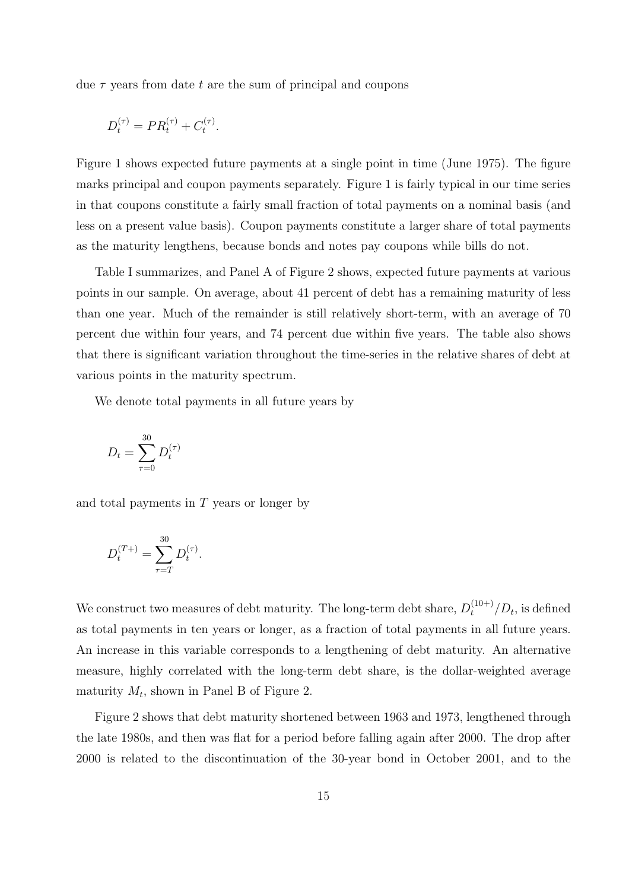due  $\tau$  years from date t are the sum of principal and coupons

$$
D_t^{(\tau)} = PR_t^{(\tau)} + C_t^{(\tau)}.
$$

Figure 1 shows expected future payments at a single point in time (June 1975). The figure marks principal and coupon payments separately. Figure 1 is fairly typical in our time series in that coupons constitute a fairly small fraction of total payments on a nominal basis (and less on a present value basis). Coupon payments constitute a larger share of total payments as the maturity lengthens, because bonds and notes pay coupons while bills do not.

Table I summarizes, and Panel A of Figure 2 shows, expected future payments at various points in our sample. On average, about 41 percent of debt has a remaining maturity of less than one year. Much of the remainder is still relatively short-term, with an average of 70 percent due within four years, and 74 percent due within five years. The table also shows that there is significant variation throughout the time-series in the relative shares of debt at various points in the maturity spectrum.

We denote total payments in all future years by

$$
D_t = \sum_{\tau=0}^{30} D_t^{(\tau)}
$$

and total payments in T years or longer by

$$
D_t^{(T+)} = \sum_{\tau=T}^{30} D_t^{(\tau)}.
$$

We construct two measures of debt maturity. The long-term debt share,  $D_t^{(10+)}/D_t$ , is defined as total payments in ten years or longer, as a fraction of total payments in all future years. An increase in this variable corresponds to a lengthening of debt maturity. An alternative measure, highly correlated with the long-term debt share, is the dollar-weighted average maturity  $M_t$ , shown in Panel B of Figure 2.

Figure 2 shows that debt maturity shortened between 1963 and 1973, lengthened through the late 1980s, and then was flat for a period before falling again after 2000. The drop after 2000 is related to the discontinuation of the 30-year bond in October 2001, and to the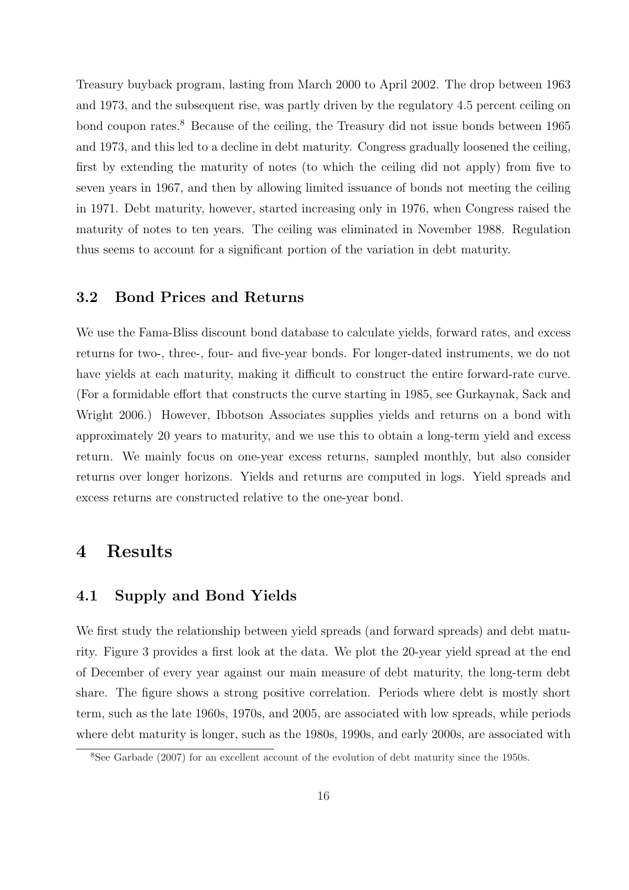Treasury buyback program, lasting from March 2000 to April 2002. The drop between 1963 and 1973, and the subsequent rise, was partly driven by the regulatory 4.5 percent ceiling on bond coupon rates.<sup>8</sup> Because of the ceiling, the Treasury did not issue bonds between 1965 and 1973, and this led to a decline in debt maturity. Congress gradually loosened the ceiling, first by extending the maturity of notes (to which the ceiling did not apply) from five to seven years in 1967, and then by allowing limited issuance of bonds not meeting the ceiling in 1971. Debt maturity, however, started increasing only in 1976, when Congress raised the maturity of notes to ten years. The ceiling was eliminated in November 1988. Regulation thus seems to account for a significant portion of the variation in debt maturity.

## 3.2 Bond Prices and Returns

We use the Fama-Bliss discount bond database to calculate yields, forward rates, and excess returns for two-, three-, four- and five-year bonds. For longer-dated instruments, we do not have yields at each maturity, making it difficult to construct the entire forward-rate curve. (For a formidable effort that constructs the curve starting in 1985, see Gurkaynak, Sack and Wright 2006.) However, Ibbotson Associates supplies yields and returns on a bond with approximately 20 years to maturity, and we use this to obtain a long-term yield and excess return. We mainly focus on one-year excess returns, sampled monthly, but also consider returns over longer horizons. Yields and returns are computed in logs. Yield spreads and excess returns are constructed relative to the one-year bond.

# 4 Results

# 4.1 Supply and Bond Yields

We first study the relationship between yield spreads (and forward spreads) and debt maturity. Figure 3 provides a first look at the data. We plot the 20-year yield spread at the end of December of every year against our main measure of debt maturity, the long-term debt share. The figure shows a strong positive correlation. Periods where debt is mostly short term, such as the late 1960s, 1970s, and 2005, are associated with low spreads, while periods where debt maturity is longer, such as the 1980s, 1990s, and early 2000s, are associated with

<sup>8</sup>See Garbade (2007) for an excellent account of the evolution of debt maturity since the 1950s.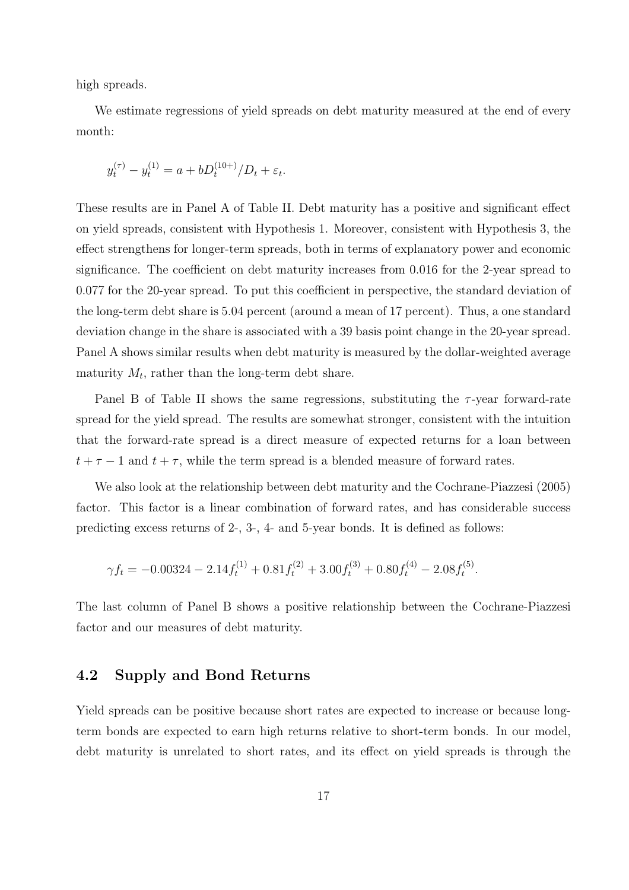high spreads.

We estimate regressions of yield spreads on debt maturity measured at the end of every month:

$$
y_t^{(\tau)} - y_t^{(1)} = a + bD_t^{(10+)}/D_t + \varepsilon_t.
$$

These results are in Panel A of Table II. Debt maturity has a positive and significant effect on yield spreads, consistent with Hypothesis 1. Moreover, consistent with Hypothesis 3, the effect strengthens for longer-term spreads, both in terms of explanatory power and economic significance. The coefficient on debt maturity increases from 0.016 for the 2-year spread to 0.077 for the 20-year spread. To put this coefficient in perspective, the standard deviation of the long-term debt share is 5.04 percent (around a mean of 17 percent). Thus, a one standard deviation change in the share is associated with a 39 basis point change in the 20-year spread. Panel A shows similar results when debt maturity is measured by the dollar-weighted average maturity  $M_t$ , rather than the long-term debt share.

Panel B of Table II shows the same regressions, substituting the  $\tau$ -year forward-rate spread for the yield spread. The results are somewhat stronger, consistent with the intuition that the forward-rate spread is a direct measure of expected returns for a loan between  $t + \tau - 1$  and  $t + \tau$ , while the term spread is a blended measure of forward rates.

We also look at the relationship between debt maturity and the Cochrane-Piazzesi (2005) factor. This factor is a linear combination of forward rates, and has considerable success predicting excess returns of 2-, 3-, 4- and 5-year bonds. It is defined as follows:

$$
\gamma f_t = -0.00324 - 2.14 f_t^{(1)} + 0.81 f_t^{(2)} + 3.00 f_t^{(3)} + 0.80 f_t^{(4)} - 2.08 f_t^{(5)}.
$$

The last column of Panel B shows a positive relationship between the Cochrane-Piazzesi factor and our measures of debt maturity.

# 4.2 Supply and Bond Returns

Yield spreads can be positive because short rates are expected to increase or because longterm bonds are expected to earn high returns relative to short-term bonds. In our model, debt maturity is unrelated to short rates, and its effect on yield spreads is through the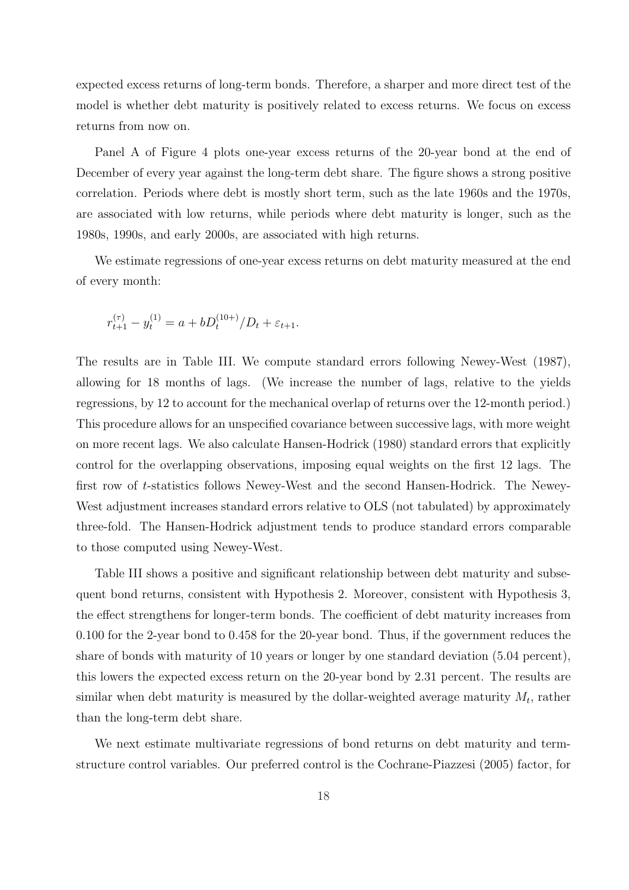expected excess returns of long-term bonds. Therefore, a sharper and more direct test of the model is whether debt maturity is positively related to excess returns. We focus on excess returns from now on.

Panel A of Figure 4 plots one-year excess returns of the 20-year bond at the end of December of every year against the long-term debt share. The figure shows a strong positive correlation. Periods where debt is mostly short term, such as the late 1960s and the 1970s, are associated with low returns, while periods where debt maturity is longer, such as the 1980s, 1990s, and early 2000s, are associated with high returns.

We estimate regressions of one-year excess returns on debt maturity measured at the end of every month:

$$
r_{t+1}^{(\tau)} - y_t^{(1)} = a + bD_t^{(10+)}/D_t + \varepsilon_{t+1}.
$$

The results are in Table III. We compute standard errors following Newey-West (1987), allowing for 18 months of lags. (We increase the number of lags, relative to the yields regressions, by 12 to account for the mechanical overlap of returns over the 12-month period.) This procedure allows for an unspecified covariance between successive lags, with more weight on more recent lags. We also calculate Hansen-Hodrick (1980) standard errors that explicitly control for the overlapping observations, imposing equal weights on the first 12 lags. The first row of t-statistics follows Newey-West and the second Hansen-Hodrick. The Newey-West adjustment increases standard errors relative to OLS (not tabulated) by approximately three-fold. The Hansen-Hodrick adjustment tends to produce standard errors comparable to those computed using Newey-West.

Table III shows a positive and significant relationship between debt maturity and subsequent bond returns, consistent with Hypothesis 2. Moreover, consistent with Hypothesis 3, the effect strengthens for longer-term bonds. The coefficient of debt maturity increases from 0.100 for the 2-year bond to 0.458 for the 20-year bond. Thus, if the government reduces the share of bonds with maturity of 10 years or longer by one standard deviation (5.04 percent), this lowers the expected excess return on the 20-year bond by 2.31 percent. The results are similar when debt maturity is measured by the dollar-weighted average maturity  $M_t$ , rather than the long-term debt share.

We next estimate multivariate regressions of bond returns on debt maturity and termstructure control variables. Our preferred control is the Cochrane-Piazzesi (2005) factor, for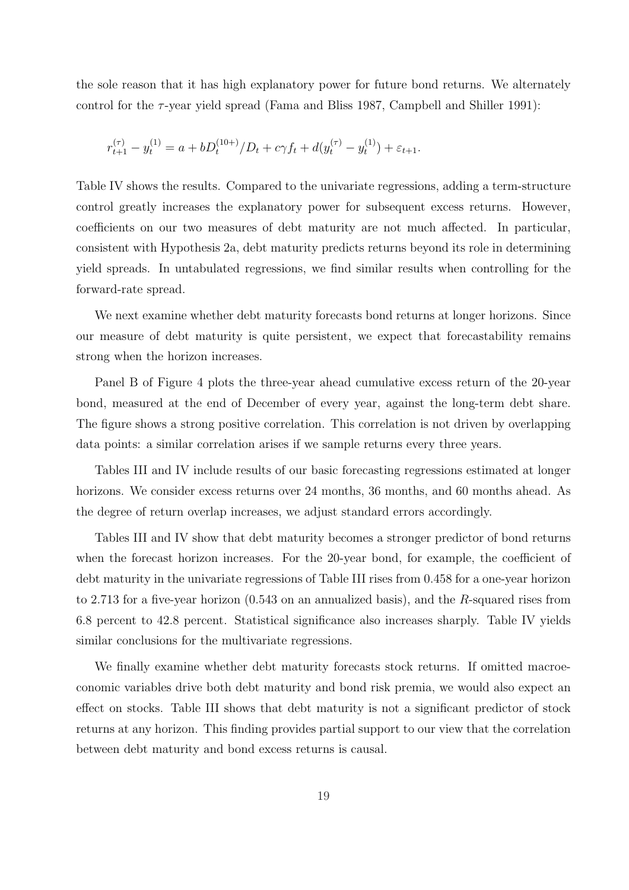the sole reason that it has high explanatory power for future bond returns. We alternately control for the  $\tau$ -year yield spread (Fama and Bliss 1987, Campbell and Shiller 1991):

$$
r_{t+1}^{(\tau)} - y_t^{(1)} = a + b D_t^{(10+)} / D_t + c \gamma f_t + d(y_t^{(\tau)} - y_t^{(1)}) + \varepsilon_{t+1}.
$$

Table IV shows the results. Compared to the univariate regressions, adding a term-structure control greatly increases the explanatory power for subsequent excess returns. However, coefficients on our two measures of debt maturity are not much affected. In particular, consistent with Hypothesis 2a, debt maturity predicts returns beyond its role in determining yield spreads. In untabulated regressions, we find similar results when controlling for the forward-rate spread.

We next examine whether debt maturity forecasts bond returns at longer horizons. Since our measure of debt maturity is quite persistent, we expect that forecastability remains strong when the horizon increases.

Panel B of Figure 4 plots the three-year ahead cumulative excess return of the 20-year bond, measured at the end of December of every year, against the long-term debt share. The figure shows a strong positive correlation. This correlation is not driven by overlapping data points: a similar correlation arises if we sample returns every three years.

Tables III and IV include results of our basic forecasting regressions estimated at longer horizons. We consider excess returns over 24 months, 36 months, and 60 months ahead. As the degree of return overlap increases, we adjust standard errors accordingly.

Tables III and IV show that debt maturity becomes a stronger predictor of bond returns when the forecast horizon increases. For the 20-year bond, for example, the coefficient of debt maturity in the univariate regressions of Table III rises from 0.458 for a one-year horizon to 2.713 for a five-year horizon  $(0.543 \text{ on an annualized basis})$ , and the R-squared rises from 6.8 percent to 42.8 percent. Statistical significance also increases sharply. Table IV yields similar conclusions for the multivariate regressions.

We finally examine whether debt maturity forecasts stock returns. If omitted macroeconomic variables drive both debt maturity and bond risk premia, we would also expect an effect on stocks. Table III shows that debt maturity is not a significant predictor of stock returns at any horizon. This finding provides partial support to our view that the correlation between debt maturity and bond excess returns is causal.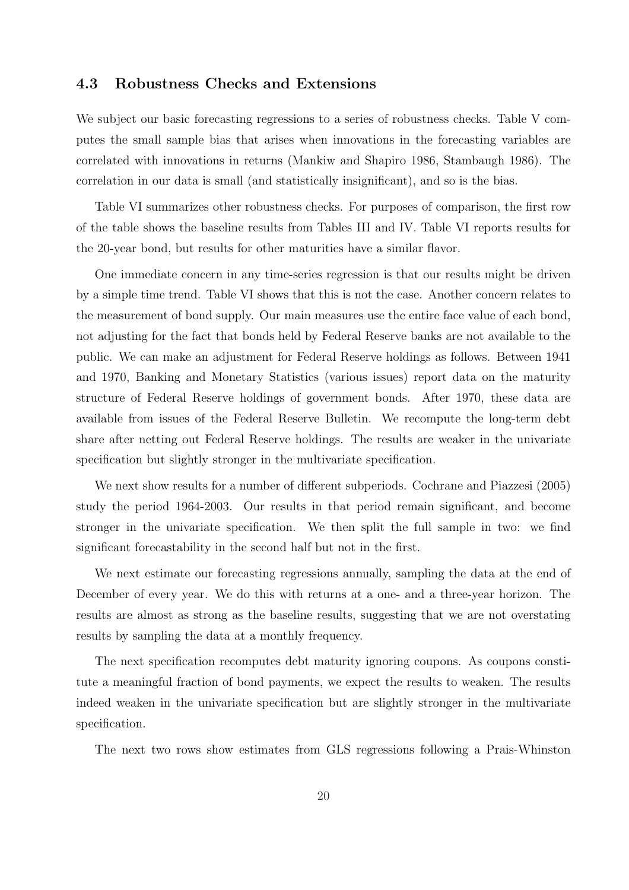## 4.3 Robustness Checks and Extensions

We subject our basic forecasting regressions to a series of robustness checks. Table V computes the small sample bias that arises when innovations in the forecasting variables are correlated with innovations in returns (Mankiw and Shapiro 1986, Stambaugh 1986). The correlation in our data is small (and statistically insignificant), and so is the bias.

Table VI summarizes other robustness checks. For purposes of comparison, the first row of the table shows the baseline results from Tables III and IV. Table VI reports results for the 20-year bond, but results for other maturities have a similar flavor.

One immediate concern in any time-series regression is that our results might be driven by a simple time trend. Table VI shows that this is not the case. Another concern relates to the measurement of bond supply. Our main measures use the entire face value of each bond, not adjusting for the fact that bonds held by Federal Reserve banks are not available to the public. We can make an adjustment for Federal Reserve holdings as follows. Between 1941 and 1970, Banking and Monetary Statistics (various issues) report data on the maturity structure of Federal Reserve holdings of government bonds. After 1970, these data are available from issues of the Federal Reserve Bulletin. We recompute the long-term debt share after netting out Federal Reserve holdings. The results are weaker in the univariate specification but slightly stronger in the multivariate specification.

We next show results for a number of different subperiods. Cochrane and Piazzesi (2005) study the period 1964-2003. Our results in that period remain significant, and become stronger in the univariate specification. We then split the full sample in two: we find significant forecastability in the second half but not in the first.

We next estimate our forecasting regressions annually, sampling the data at the end of December of every year. We do this with returns at a one- and a three-year horizon. The results are almost as strong as the baseline results, suggesting that we are not overstating results by sampling the data at a monthly frequency.

The next specification recomputes debt maturity ignoring coupons. As coupons constitute a meaningful fraction of bond payments, we expect the results to weaken. The results indeed weaken in the univariate specification but are slightly stronger in the multivariate specification.

The next two rows show estimates from GLS regressions following a Prais-Whinston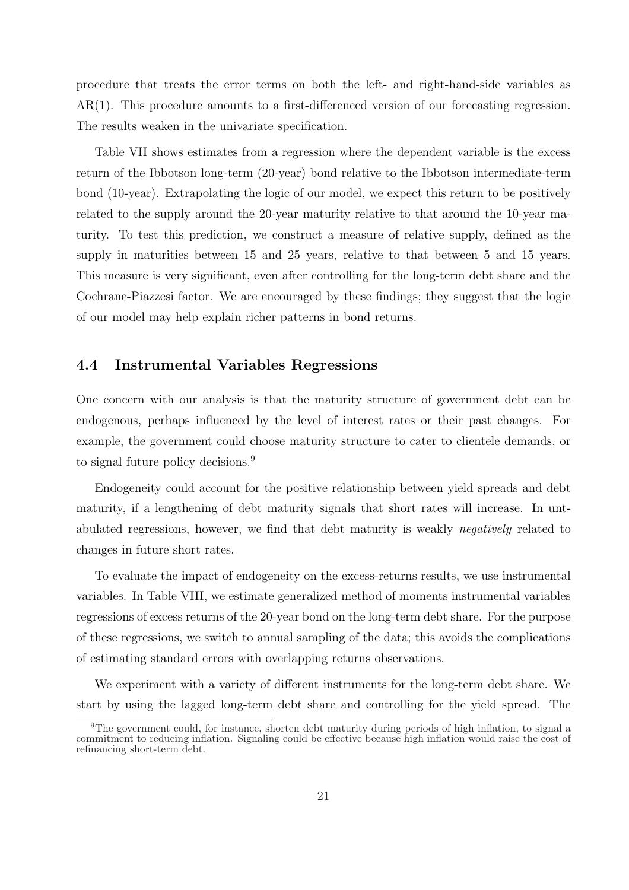procedure that treats the error terms on both the left- and right-hand-side variables as AR(1). This procedure amounts to a first-differenced version of our forecasting regression. The results weaken in the univariate specification.

Table VII shows estimates from a regression where the dependent variable is the excess return of the Ibbotson long-term (20-year) bond relative to the Ibbotson intermediate-term bond (10-year). Extrapolating the logic of our model, we expect this return to be positively related to the supply around the 20-year maturity relative to that around the 10-year maturity. To test this prediction, we construct a measure of relative supply, defined as the supply in maturities between 15 and 25 years, relative to that between 5 and 15 years. This measure is very significant, even after controlling for the long-term debt share and the Cochrane-Piazzesi factor. We are encouraged by these findings; they suggest that the logic of our model may help explain richer patterns in bond returns.

## 4.4 Instrumental Variables Regressions

One concern with our analysis is that the maturity structure of government debt can be endogenous, perhaps influenced by the level of interest rates or their past changes. For example, the government could choose maturity structure to cater to clientele demands, or to signal future policy decisions.<sup>9</sup>

Endogeneity could account for the positive relationship between yield spreads and debt maturity, if a lengthening of debt maturity signals that short rates will increase. In untabulated regressions, however, we find that debt maturity is weakly negatively related to changes in future short rates.

To evaluate the impact of endogeneity on the excess-returns results, we use instrumental variables. In Table VIII, we estimate generalized method of moments instrumental variables regressions of excess returns of the 20-year bond on the long-term debt share. For the purpose of these regressions, we switch to annual sampling of the data; this avoids the complications of estimating standard errors with overlapping returns observations.

We experiment with a variety of different instruments for the long-term debt share. We start by using the lagged long-term debt share and controlling for the yield spread. The

<sup>&</sup>lt;sup>9</sup>The government could, for instance, shorten debt maturity during periods of high inflation, to signal a commitment to reducing inflation. Signaling could be effective because high inflation would raise the cost of refinancing short-term debt.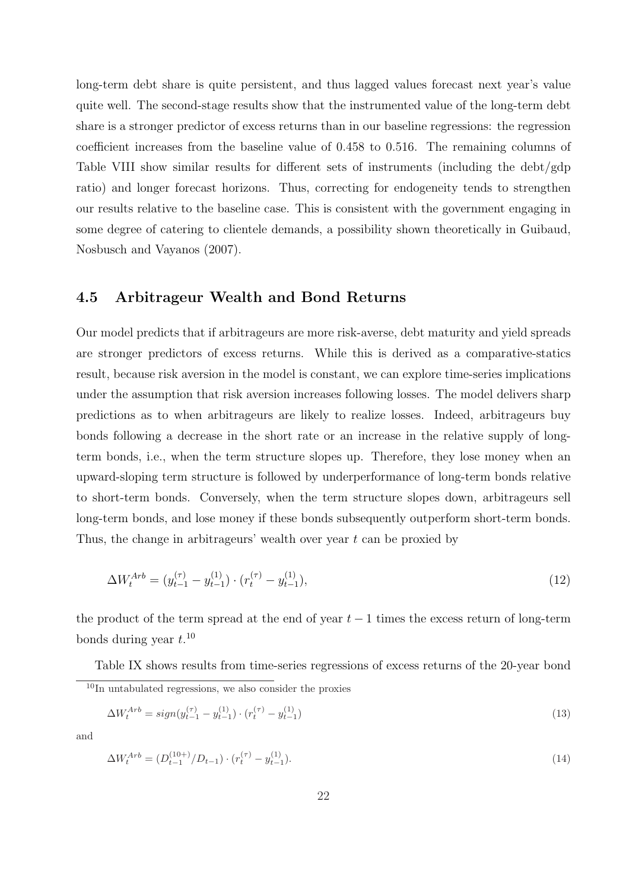long-term debt share is quite persistent, and thus lagged values forecast next year's value quite well. The second-stage results show that the instrumented value of the long-term debt share is a stronger predictor of excess returns than in our baseline regressions: the regression coefficient increases from the baseline value of 0.458 to 0.516. The remaining columns of Table VIII show similar results for different sets of instruments (including the debt/gdp ratio) and longer forecast horizons. Thus, correcting for endogeneity tends to strengthen our results relative to the baseline case. This is consistent with the government engaging in some degree of catering to clientele demands, a possibility shown theoretically in Guibaud, Nosbusch and Vayanos (2007).

# 4.5 Arbitrageur Wealth and Bond Returns

Our model predicts that if arbitrageurs are more risk-averse, debt maturity and yield spreads are stronger predictors of excess returns. While this is derived as a comparative-statics result, because risk aversion in the model is constant, we can explore time-series implications under the assumption that risk aversion increases following losses. The model delivers sharp predictions as to when arbitrageurs are likely to realize losses. Indeed, arbitrageurs buy bonds following a decrease in the short rate or an increase in the relative supply of longterm bonds, i.e., when the term structure slopes up. Therefore, they lose money when an upward-sloping term structure is followed by underperformance of long-term bonds relative to short-term bonds. Conversely, when the term structure slopes down, arbitrageurs sell long-term bonds, and lose money if these bonds subsequently outperform short-term bonds. Thus, the change in arbitrageurs' wealth over year t can be proxied by

$$
\Delta W_t^{Arb} = (y_{t-1}^{(\tau)} - y_{t-1}^{(1)}) \cdot (r_t^{(\tau)} - y_{t-1}^{(1)}), \tag{12}
$$

the product of the term spread at the end of year  $t-1$  times the excess return of long-term bonds during year  $t.^{10}$ 

Table IX shows results from time-series regressions of excess returns of the 20-year bond  $10$ In untabulated regressions, we also consider the proxies

$$
\Delta W_t^{Arb} = sign(y_{t-1}^{(\tau)} - y_{t-1}^{(1)}) \cdot (r_t^{(\tau)} - y_{t-1}^{(1)})
$$
\n(13)

and

$$
\Delta W_t^{Arb} = (D_{t-1}^{(10+)}/D_{t-1}) \cdot (r_t^{(\tau)} - y_{t-1}^{(1)}).
$$
\n(14)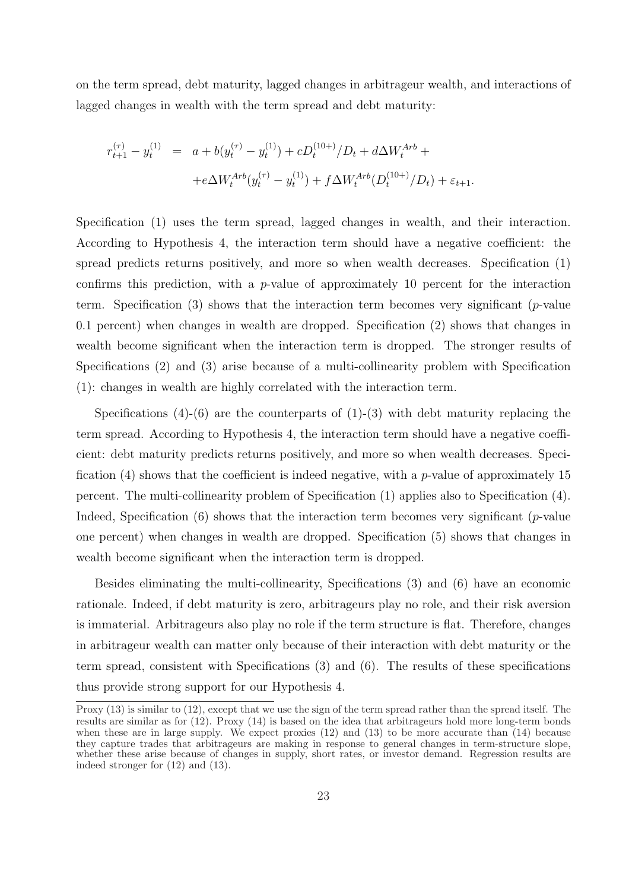on the term spread, debt maturity, lagged changes in arbitrageur wealth, and interactions of lagged changes in wealth with the term spread and debt maturity:

$$
r_{t+1}^{(\tau)} - y_t^{(1)} = a + b(y_t^{(\tau)} - y_t^{(1)}) + cD_t^{(10+)}/D_t + d\Delta W_t^{Arb} +
$$
  
+ 
$$
+ e\Delta W_t^{Arb}(y_t^{(\tau)} - y_t^{(1)}) + f\Delta W_t^{Arb}(D_t^{(10+)}/D_t) + \varepsilon_{t+1}.
$$

Specification (1) uses the term spread, lagged changes in wealth, and their interaction. According to Hypothesis 4, the interaction term should have a negative coefficient: the spread predicts returns positively, and more so when wealth decreases. Specification (1) confirms this prediction, with a  $p$ -value of approximately 10 percent for the interaction term. Specification (3) shows that the interaction term becomes very significant ( $p$ -value 0.1 percent) when changes in wealth are dropped. Specification (2) shows that changes in wealth become significant when the interaction term is dropped. The stronger results of Specifications (2) and (3) arise because of a multi-collinearity problem with Specification (1): changes in wealth are highly correlated with the interaction term.

Specifications  $(4)-(6)$  are the counterparts of  $(1)-(3)$  with debt maturity replacing the term spread. According to Hypothesis 4, the interaction term should have a negative coefficient: debt maturity predicts returns positively, and more so when wealth decreases. Specification (4) shows that the coefficient is indeed negative, with a *p*-value of approximately 15 percent. The multi-collinearity problem of Specification (1) applies also to Specification (4). Indeed, Specification  $(6)$  shows that the interaction term becomes very significant  $(p$ -value one percent) when changes in wealth are dropped. Specification (5) shows that changes in wealth become significant when the interaction term is dropped.

Besides eliminating the multi-collinearity, Specifications (3) and (6) have an economic rationale. Indeed, if debt maturity is zero, arbitrageurs play no role, and their risk aversion is immaterial. Arbitrageurs also play no role if the term structure is flat. Therefore, changes in arbitrageur wealth can matter only because of their interaction with debt maturity or the term spread, consistent with Specifications (3) and (6). The results of these specifications thus provide strong support for our Hypothesis 4.

Proxy (13) is similar to (12), except that we use the sign of the term spread rather than the spread itself. The results are similar as for (12). Proxy (14) is based on the idea that arbitrageurs hold more long-term bonds when these are in large supply. We expect proxies  $(12)$  and  $(13)$  to be more accurate than  $(14)$  because they capture trades that arbitrageurs are making in response to general changes in term-structure slope, whether these arise because of changes in supply, short rates, or investor demand. Regression results are indeed stronger for (12) and (13).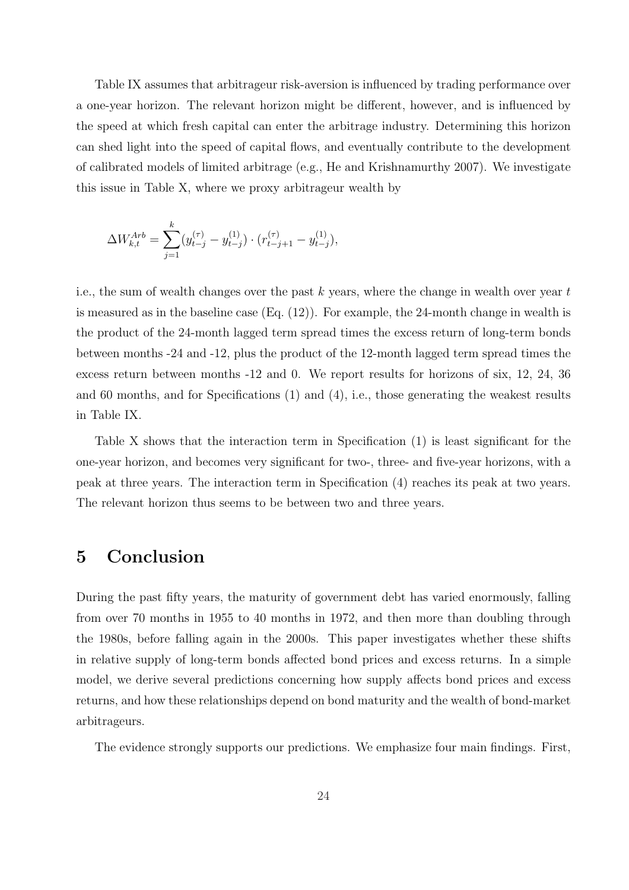Table IX assumes that arbitrageur risk-aversion is influenced by trading performance over a one-year horizon. The relevant horizon might be different, however, and is influenced by the speed at which fresh capital can enter the arbitrage industry. Determining this horizon can shed light into the speed of capital flows, and eventually contribute to the development of calibrated models of limited arbitrage (e.g., He and Krishnamurthy 2007). We investigate this issue in Table X, where we proxy arbitrageur wealth by

$$
\Delta W_{k,t}^{Arb} = \sum_{j=1}^{k} (y_{t-j}^{(\tau)} - y_{t-j}^{(1)}) \cdot (r_{t-j+1}^{(\tau)} - y_{t-j}^{(1)}),
$$

i.e., the sum of wealth changes over the past  $k$  years, where the change in wealth over year  $t$ is measured as in the baseline case  $(Eq. (12))$ . For example, the 24-month change in wealth is the product of the 24-month lagged term spread times the excess return of long-term bonds between months -24 and -12, plus the product of the 12-month lagged term spread times the excess return between months -12 and 0. We report results for horizons of six, 12, 24, 36 and 60 months, and for Specifications (1) and (4), i.e., those generating the weakest results in Table IX.

Table X shows that the interaction term in Specification (1) is least significant for the one-year horizon, and becomes very significant for two-, three- and five-year horizons, with a peak at three years. The interaction term in Specification (4) reaches its peak at two years. The relevant horizon thus seems to be between two and three years.

# 5 Conclusion

During the past fifty years, the maturity of government debt has varied enormously, falling from over 70 months in 1955 to 40 months in 1972, and then more than doubling through the 1980s, before falling again in the 2000s. This paper investigates whether these shifts in relative supply of long-term bonds affected bond prices and excess returns. In a simple model, we derive several predictions concerning how supply affects bond prices and excess returns, and how these relationships depend on bond maturity and the wealth of bond-market arbitrageurs.

The evidence strongly supports our predictions. We emphasize four main findings. First,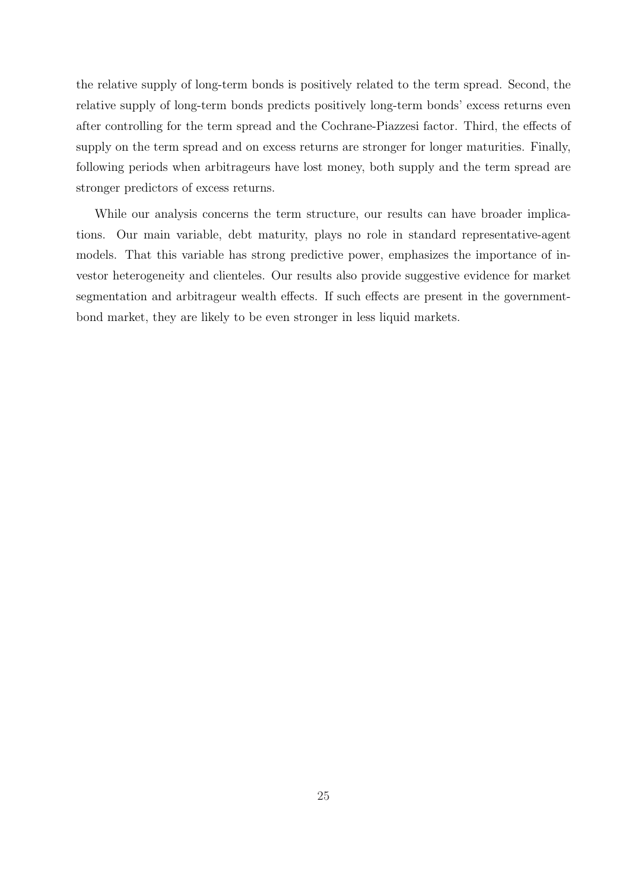the relative supply of long-term bonds is positively related to the term spread. Second, the relative supply of long-term bonds predicts positively long-term bonds' excess returns even after controlling for the term spread and the Cochrane-Piazzesi factor. Third, the effects of supply on the term spread and on excess returns are stronger for longer maturities. Finally, following periods when arbitrageurs have lost money, both supply and the term spread are stronger predictors of excess returns.

While our analysis concerns the term structure, our results can have broader implications. Our main variable, debt maturity, plays no role in standard representative-agent models. That this variable has strong predictive power, emphasizes the importance of investor heterogeneity and clienteles. Our results also provide suggestive evidence for market segmentation and arbitrageur wealth effects. If such effects are present in the governmentbond market, they are likely to be even stronger in less liquid markets.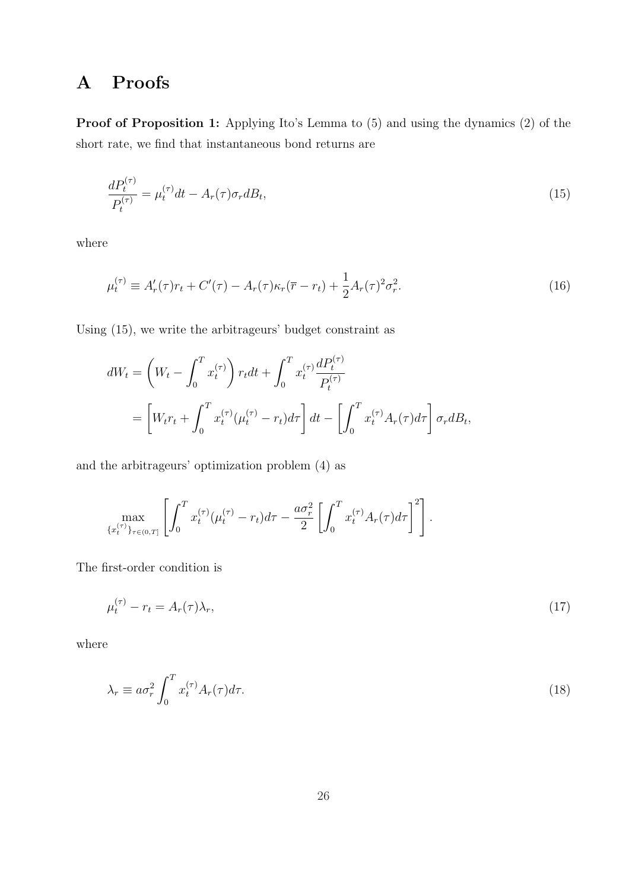# A Proofs

Proof of Proposition 1: Applying Ito's Lemma to  $(5)$  and using the dynamics  $(2)$  of the short rate, we find that instantaneous bond returns are

$$
\frac{dP_t^{(\tau)}}{P_t^{(\tau)}} = \mu_t^{(\tau)}dt - A_r(\tau)\sigma_r dB_t,
$$
\n(15)

where

$$
\mu_t^{(\tau)} \equiv A'_r(\tau)r_t + C'(\tau) - A_r(\tau)\kappa_r(\overline{r} - r_t) + \frac{1}{2}A_r(\tau)^2 \sigma_r^2.
$$
\n(16)

Using (15), we write the arbitrageurs' budget constraint as

$$
dW_t = \left(W_t - \int_0^T x_t^{(\tau)}\right) r_t dt + \int_0^T x_t^{(\tau)} \frac{dP_t^{(\tau)}}{P_t^{(\tau)}}
$$
  
=  $\left[W_t r_t + \int_0^T x_t^{(\tau)} (\mu_t^{(\tau)} - r_t) d\tau\right] dt - \left[\int_0^T x_t^{(\tau)} A_r(\tau) d\tau\right] \sigma_r dB_t,$ 

and the arbitrageurs' optimization problem (4) as

$$
\max_{\{x_t^{(\tau)}\}_{\tau \in (0,T]}} \left[ \int_0^T x_t^{(\tau)} (\mu_t^{(\tau)} - r_t) d\tau - \frac{a \sigma_r^2}{2} \left[ \int_0^T x_t^{(\tau)} A_r(\tau) d\tau \right]^2 \right].
$$

The first-order condition is

$$
\mu_t^{(\tau)} - r_t = A_r(\tau)\lambda_r,\tag{17}
$$

where

$$
\lambda_r \equiv a\sigma_r^2 \int_0^T x_t^{(\tau)} A_r(\tau) d\tau.
$$
\n(18)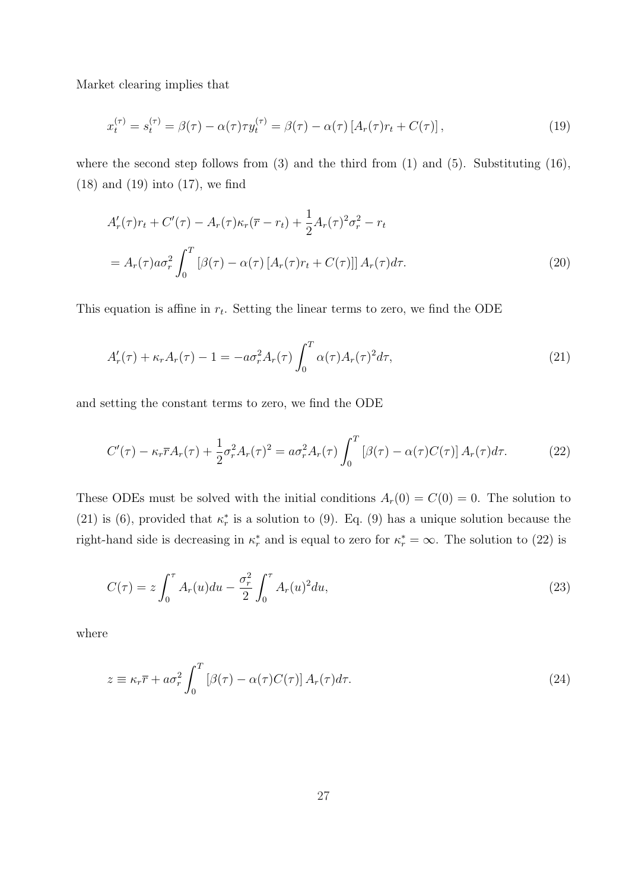Market clearing implies that

$$
x_t^{(\tau)} = s_t^{(\tau)} = \beta(\tau) - \alpha(\tau)\tau y_t^{(\tau)} = \beta(\tau) - \alpha(\tau) \left[ A_r(\tau)r_t + C(\tau) \right],\tag{19}
$$

where the second step follows from  $(3)$  and the third from  $(1)$  and  $(5)$ . Substituting  $(16)$ , (18) and (19) into (17), we find

$$
A'_r(\tau)r_t + C'(\tau) - A_r(\tau)\kappa_r(\overline{r} - r_t) + \frac{1}{2}A_r(\tau)^2\sigma_r^2 - r_t
$$
  
= 
$$
A_r(\tau)a\sigma_r^2 \int_0^T \left[\beta(\tau) - \alpha(\tau)\left[A_r(\tau)r_t + C(\tau)\right]\right]A_r(\tau)d\tau.
$$
 (20)

This equation is affine in  $r_t$ . Setting the linear terms to zero, we find the ODE

$$
A'_r(\tau) + \kappa_r A_r(\tau) - 1 = -a\sigma_r^2 A_r(\tau) \int_0^T \alpha(\tau) A_r(\tau)^2 d\tau,
$$
\n(21)

and setting the constant terms to zero, we find the ODE

$$
C'(\tau) - \kappa_r \overline{r} A_r(\tau) + \frac{1}{2} \sigma_r^2 A_r(\tau)^2 = a \sigma_r^2 A_r(\tau) \int_0^T \left[ \beta(\tau) - \alpha(\tau) C(\tau) \right] A_r(\tau) d\tau.
$$
 (22)

These ODEs must be solved with the initial conditions  $A_r(0) = C(0) = 0$ . The solution to (21) is (6), provided that  $\kappa_r^*$  is a solution to (9). Eq. (9) has a unique solution because the right-hand side is decreasing in  $\kappa_r^*$  and is equal to zero for  $\kappa_r^* = \infty$ . The solution to (22) is

$$
C(\tau) = z \int_0^{\tau} A_r(u) du - \frac{\sigma_r^2}{2} \int_0^{\tau} A_r(u)^2 du,
$$
\n(23)

where

$$
z \equiv \kappa_r \overline{r} + a\sigma_r^2 \int_0^T \left[ \beta(\tau) - \alpha(\tau) C(\tau) \right] A_r(\tau) d\tau.
$$
 (24)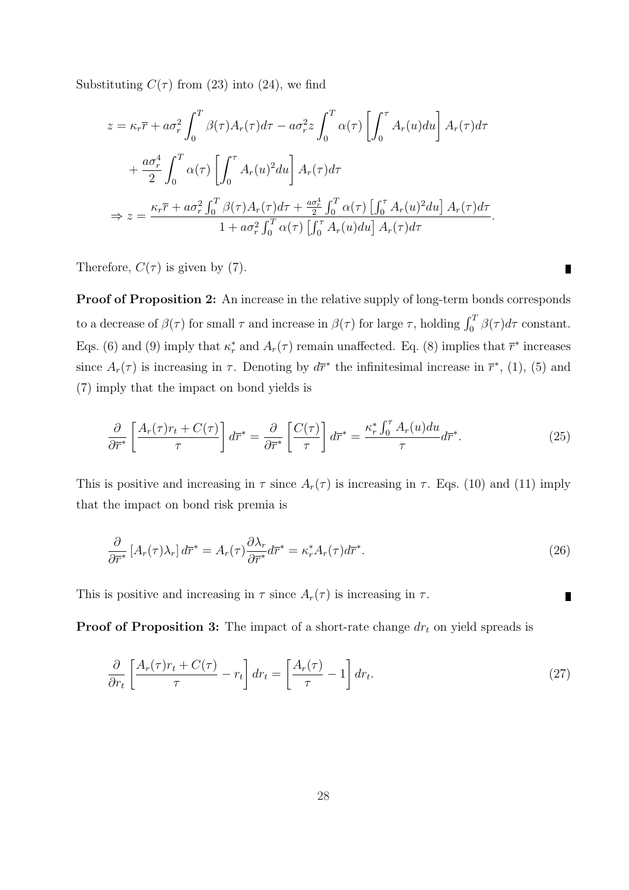Substituting  $C(\tau)$  from (23) into (24), we find

$$
z = \kappa_r \overline{r} + a\sigma_r^2 \int_0^T \beta(\tau) A_r(\tau) d\tau - a\sigma_r^2 z \int_0^T \alpha(\tau) \left[ \int_0^{\tau} A_r(u) du \right] A_r(\tau) d\tau
$$
  
+ 
$$
\frac{a\sigma_r^4}{2} \int_0^T \alpha(\tau) \left[ \int_0^{\tau} A_r(u)^2 du \right] A_r(\tau) d\tau
$$
  

$$
\Rightarrow z = \frac{\kappa_r \overline{r} + a\sigma_r^2 \int_0^T \beta(\tau) A_r(\tau) d\tau + \frac{a\sigma_r^4}{2} \int_0^T \alpha(\tau) \left[ \int_0^{\tau} A_r(u)^2 du \right] A_r(\tau) d\tau}{1 + a\sigma_r^2 \int_0^T \alpha(\tau) \left[ \int_0^{\tau} A_r(u) du \right] A_r(\tau) d\tau}.
$$

Therefore,  $C(\tau)$  is given by (7).

Proof of Proposition 2: An increase in the relative supply of long-term bonds corresponds to a decrease of  $\beta(\tau)$  for small  $\tau$  and increase in  $\beta(\tau)$  for large  $\tau$ , holding  $\int_0^T \beta(\tau) d\tau$  constant. Eqs. (6) and (9) imply that  $\kappa_r^*$  and  $A_r(\tau)$  remain unaffected. Eq. (8) implies that  $\overline{r}^*$  increases since  $A_r(\tau)$  is increasing in  $\tau$ . Denoting by  $d\overline{r}^*$  the infinitesimal increase in  $\overline{r}^*$ , (1), (5) and (7) imply that the impact on bond yields is

$$
\frac{\partial}{\partial \overline{r}^*} \left[ \frac{A_r(\tau) r_t + C(\tau)}{\tau} \right] d\overline{r}^* = \frac{\partial}{\partial \overline{r}^*} \left[ \frac{C(\tau)}{\tau} \right] d\overline{r}^* = \frac{\kappa_r^* \int_0^{\tau} A_r(u) du}{\tau} d\overline{r}^*.
$$
 (25)

This is positive and increasing in  $\tau$  since  $A_r(\tau)$  is increasing in  $\tau$ . Eqs. (10) and (11) imply that the impact on bond risk premia is

$$
\frac{\partial}{\partial \overline{r}^*} \left[ A_r(\tau) \lambda_r \right] d\overline{r}^* = A_r(\tau) \frac{\partial \lambda_r}{\partial \overline{r}^*} d\overline{r}^* = \kappa_r^* A_r(\tau) d\overline{r}^*.
$$
\n(26)

This is positive and increasing in  $\tau$  since  $A_r(\tau)$  is increasing in  $\tau$ .

**Proof of Proposition 3:** The impact of a short-rate change  $dr_t$  on yield spreads is

$$
\frac{\partial}{\partial r_t} \left[ \frac{A_r(\tau) r_t + C(\tau)}{\tau} - r_t \right] dr_t = \left[ \frac{A_r(\tau)}{\tau} - 1 \right] dr_t.
$$
\n(27)

 $\blacksquare$ 

П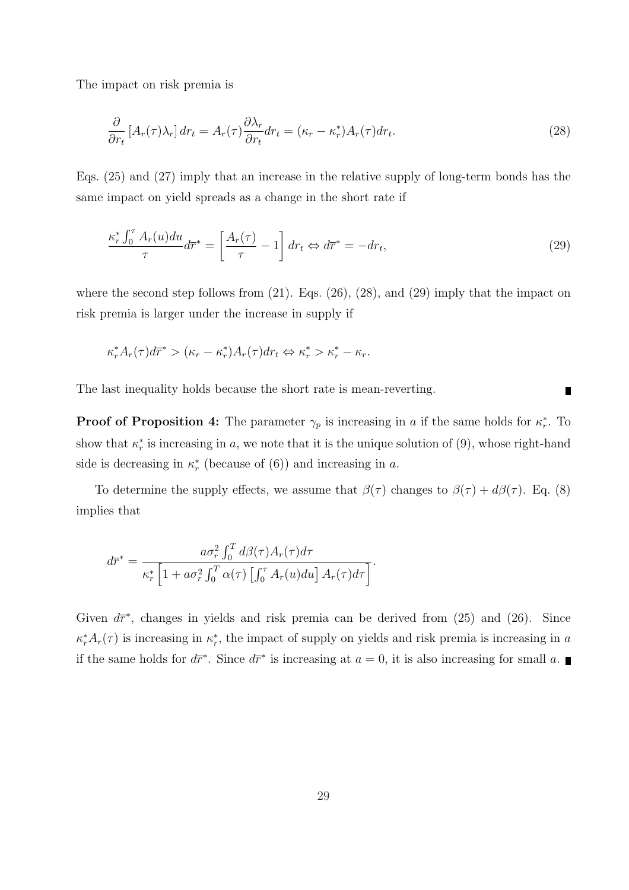The impact on risk premia is

$$
\frac{\partial}{\partial r_t} \left[ A_r(\tau) \lambda_r \right] dr_t = A_r(\tau) \frac{\partial \lambda_r}{\partial r_t} dr_t = (\kappa_r - \kappa_r^*) A_r(\tau) dr_t.
$$
\n(28)

Eqs. (25) and (27) imply that an increase in the relative supply of long-term bonds has the same impact on yield spreads as a change in the short rate if

$$
\frac{\kappa_r^* \int_0^\tau A_r(u) du}{\tau} d\overline{r}^* = \left[ \frac{A_r(\tau)}{\tau} - 1 \right] dr_t \Leftrightarrow d\overline{r}^* = -dr_t,
$$
\n(29)

where the second step follows from  $(21)$ . Eqs.  $(26)$ ,  $(28)$ , and  $(29)$  imply that the impact on risk premia is larger under the increase in supply if

$$
\kappa_r^* A_r(\tau) d\overline{r}^* > (\kappa_r - \kappa_r^*) A_r(\tau) d r_t \Leftrightarrow \kappa_r^* > \kappa_r^* - \kappa_r.
$$

The last inequality holds because the short rate is mean-reverting.

**Proof of Proposition 4:** The parameter  $\gamma_p$  is increasing in a if the same holds for  $\kappa_r^*$ . To show that  $\kappa_r^*$  is increasing in a, we note that it is the unique solution of (9), whose right-hand side is decreasing in  $\kappa_r^*$  (because of (6)) and increasing in a.

 $\blacksquare$ 

To determine the supply effects, we assume that  $\beta(\tau)$  changes to  $\beta(\tau) + d\beta(\tau)$ . Eq. (8) implies that

$$
d\overline{r}^* = \frac{a\sigma_r^2 \int_0^T d\beta(\tau) A_r(\tau) d\tau}{\kappa_r^* \left[1 + a\sigma_r^2 \int_0^T \alpha(\tau) \left[\int_0^{\tau} A_r(u) du\right] A_r(\tau) d\tau\right]}.
$$

Given  $d\overline{r}^*$ , changes in yields and risk premia can be derived from (25) and (26). Since  $\kappa_r^* A_r(\tau)$  is increasing in  $\kappa_r^*$ , the impact of supply on yields and risk premia is increasing in a if the same holds for  $d\overline{r}^*$ . Since  $d\overline{r}^*$  is increasing at  $a = 0$ , it is also increasing for small a.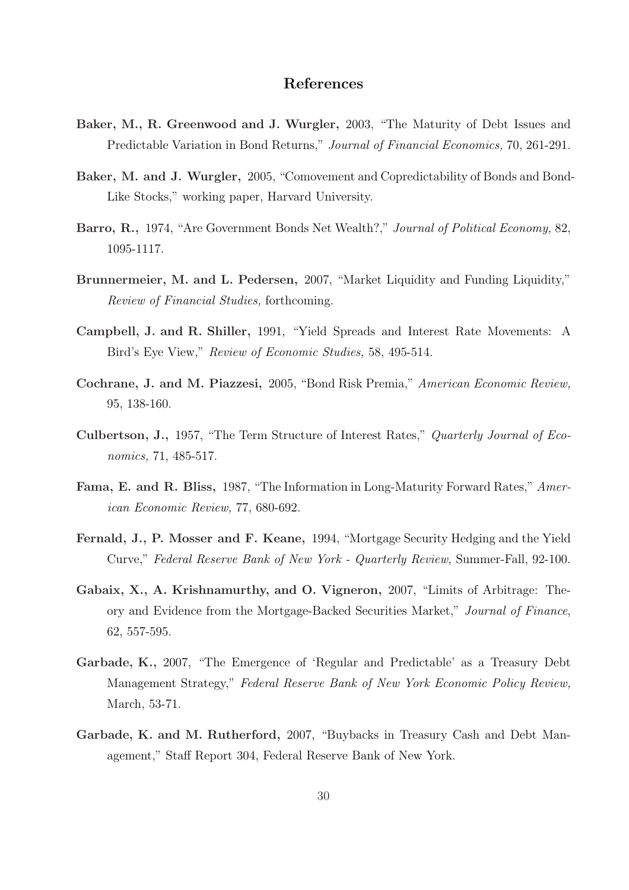### References

- Baker, M., R. Greenwood and J. Wurgler, 2003, "The Maturity of Debt Issues and Predictable Variation in Bond Returns," Journal of Financial Economics, 70, 261-291.
- Baker, M. and J. Wurgler, 2005, "Comovement and Copredictability of Bonds and Bond-Like Stocks," working paper, Harvard University.
- Barro, R., 1974, "Are Government Bonds Net Wealth?," Journal of Political Economy, 82, 1095-1117.
- Brunnermeier, M. and L. Pedersen, 2007, "Market Liquidity and Funding Liquidity," Review of Financial Studies, forthcoming.
- Campbell, J. and R. Shiller, 1991, "Yield Spreads and Interest Rate Movements: A Bird's Eye View," Review of Economic Studies, 58, 495-514.
- Cochrane, J. and M. Piazzesi, 2005, "Bond Risk Premia," American Economic Review, 95, 138-160.
- Culbertson, J., 1957, "The Term Structure of Interest Rates," Quarterly Journal of Economics, 71, 485-517.
- Fama, E. and R. Bliss, 1987, "The Information in Long-Maturity Forward Rates," American Economic Review, 77, 680-692.
- Fernald, J., P. Mosser and F. Keane, 1994, "Mortgage Security Hedging and the Yield Curve," Federal Reserve Bank of New York - Quarterly Review, Summer-Fall, 92-100.
- Gabaix, X., A. Krishnamurthy, and O. Vigneron, 2007, "Limits of Arbitrage: Theory and Evidence from the Mortgage-Backed Securities Market," Journal of Finance, 62, 557-595.
- Garbade, K., 2007, "The Emergence of 'Regular and Predictable' as a Treasury Debt Management Strategy," Federal Reserve Bank of New York Economic Policy Review, March, 53-71.
- Garbade, K. and M. Rutherford, 2007, "Buybacks in Treasury Cash and Debt Management," Staff Report 304, Federal Reserve Bank of New York.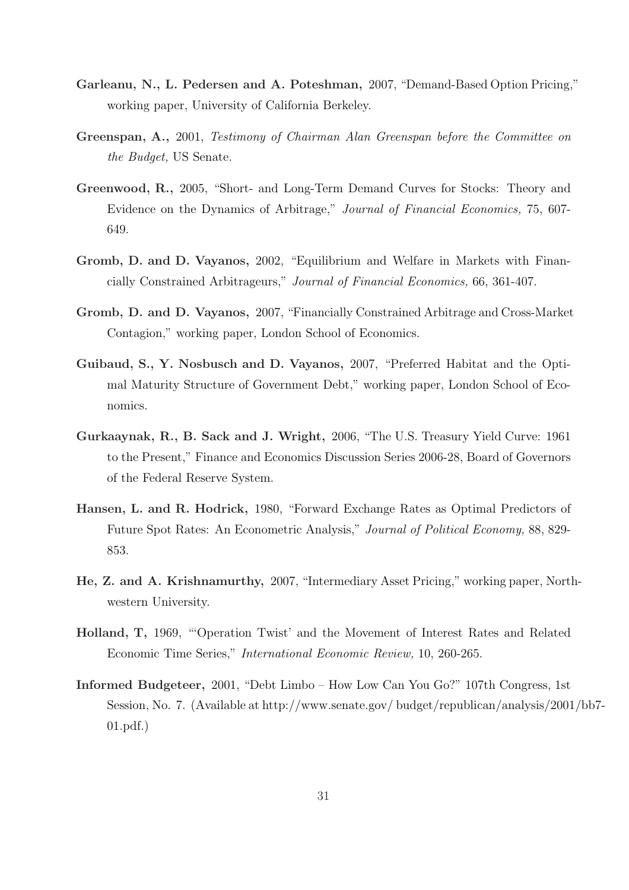- Garleanu, N., L. Pedersen and A. Poteshman, 2007, "Demand-Based Option Pricing," working paper, University of California Berkeley.
- Greenspan, A., 2001, Testimony of Chairman Alan Greenspan before the Committee on the Budget, US Senate.
- Greenwood, R., 2005, "Short- and Long-Term Demand Curves for Stocks: Theory and Evidence on the Dynamics of Arbitrage," Journal of Financial Economics, 75, 607- 649.
- Gromb, D. and D. Vayanos, 2002, "Equilibrium and Welfare in Markets with Financially Constrained Arbitrageurs," Journal of Financial Economics, 66, 361-407.
- Gromb, D. and D. Vayanos, 2007, "Financially Constrained Arbitrage and Cross-Market Contagion," working paper, London School of Economics.
- Guibaud, S., Y. Nosbusch and D. Vayanos, 2007, "Preferred Habitat and the Optimal Maturity Structure of Government Debt," working paper, London School of Economics.
- Gurkaaynak, R., B. Sack and J. Wright, 2006, "The U.S. Treasury Yield Curve: 1961 to the Present," Finance and Economics Discussion Series 2006-28, Board of Governors of the Federal Reserve System.
- Hansen, L. and R. Hodrick, 1980, "Forward Exchange Rates as Optimal Predictors of Future Spot Rates: An Econometric Analysis," Journal of Political Economy, 88, 829- 853.
- He, Z. and A. Krishnamurthy, 2007, "Intermediary Asset Pricing," working paper, Northwestern University.
- Holland, T, 1969, "'Operation Twist' and the Movement of Interest Rates and Related Economic Time Series," International Economic Review, 10, 260-265.
- Informed Budgeteer, 2001, "Debt Limbo How Low Can You Go?" 107th Congress, 1st Session, No. 7. (Available at http://www.senate.gov/ budget/republican/analysis/2001/bb7- 01.pdf.)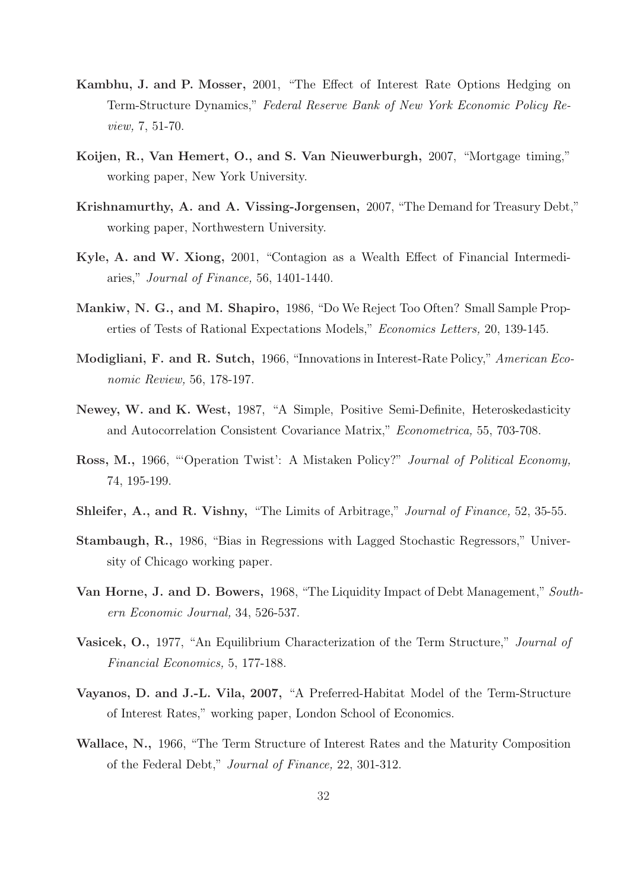- Kambhu, J. and P. Mosser, 2001, "The Effect of Interest Rate Options Hedging on Term-Structure Dynamics," Federal Reserve Bank of New York Economic Policy Review, 7, 51-70.
- Koijen, R., Van Hemert, O., and S. Van Nieuwerburgh, 2007, "Mortgage timing," working paper, New York University.
- Krishnamurthy, A. and A. Vissing-Jorgensen, 2007, "The Demand for Treasury Debt," working paper, Northwestern University.
- Kyle, A. and W. Xiong, 2001, "Contagion as a Wealth Effect of Financial Intermediaries," Journal of Finance, 56, 1401-1440.
- Mankiw, N. G., and M. Shapiro, 1986, "Do We Reject Too Often? Small Sample Properties of Tests of Rational Expectations Models," Economics Letters, 20, 139-145.
- Modigliani, F. and R. Sutch, 1966, "Innovations in Interest-Rate Policy," American Economic Review, 56, 178-197.
- Newey, W. and K. West, 1987, "A Simple, Positive Semi-Definite, Heteroskedasticity and Autocorrelation Consistent Covariance Matrix," Econometrica, 55, 703-708.
- Ross, M., 1966, "'Operation Twist': A Mistaken Policy?" Journal of Political Economy, 74, 195-199.
- Shleifer, A., and R. Vishny, "The Limits of Arbitrage," Journal of Finance, 52, 35-55.
- Stambaugh, R., 1986, "Bias in Regressions with Lagged Stochastic Regressors," University of Chicago working paper.
- Van Horne, J. and D. Bowers, 1968, "The Liquidity Impact of Debt Management," Southern Economic Journal, 34, 526-537.
- Vasicek, O., 1977, "An Equilibrium Characterization of the Term Structure," Journal of Financial Economics, 5, 177-188.
- Vayanos, D. and J.-L. Vila, 2007, "A Preferred-Habitat Model of the Term-Structure of Interest Rates," working paper, London School of Economics.
- Wallace, N., 1966, "The Term Structure of Interest Rates and the Maturity Composition of the Federal Debt," Journal of Finance, 22, 301-312.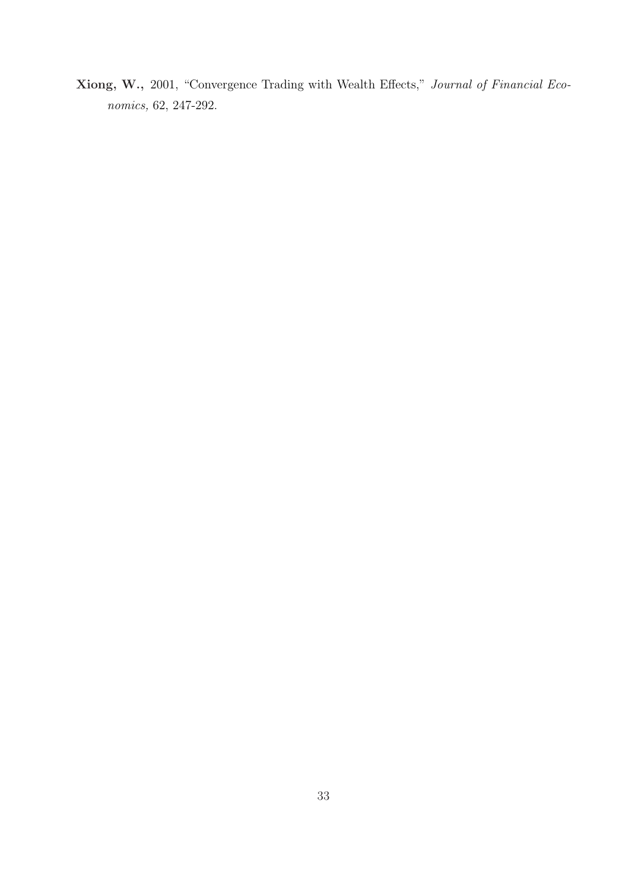Xiong, W., 2001, "Convergence Trading with Wealth Effects," Journal of Financial Economics, 62, 247-292.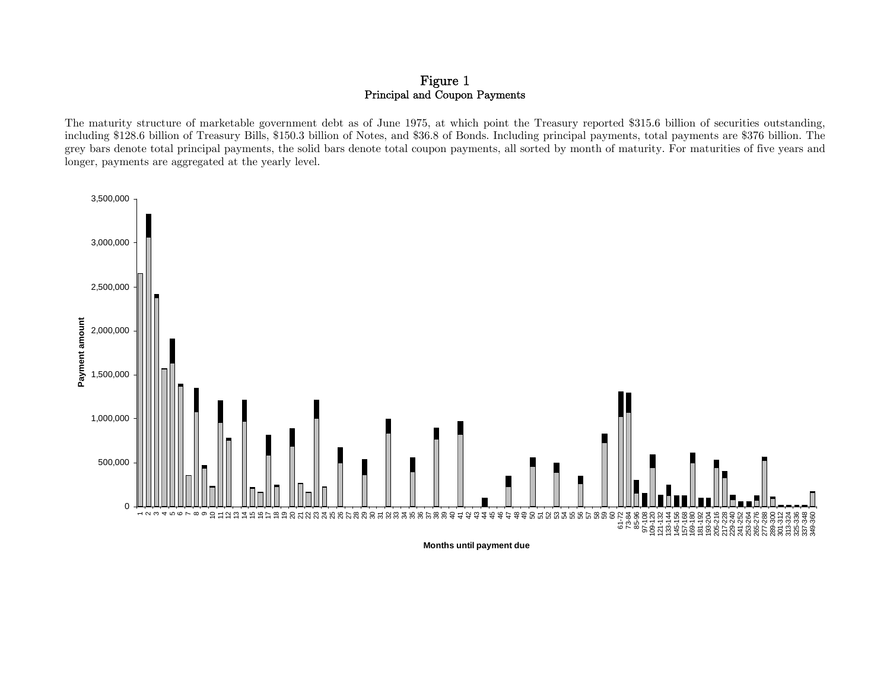### Figure 1 Principal and Coupon Payments

The maturity structure of marketable government debt as of June 1975, at which point the Treasury reported \$315.6 billion of securities outstanding, including \$128.6 billion of Treasury Bills, \$150.3 billion of Notes, and \$36.8 of Bonds. Including principal payments, total payments are \$376 billion. The grey bars denote total principal payments, the solid bars denote total coupon payments, all sorted by month of maturity. For maturities of five years and longer, payments are aggregated at the yearly level.



**Months until payment due**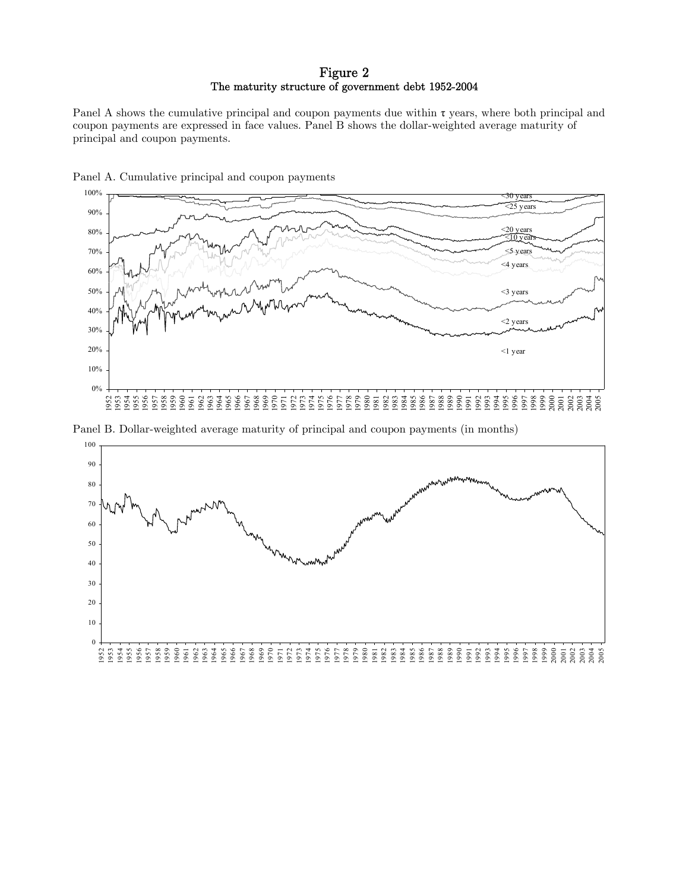### Figure 2 The maturity structure of government debt 1952-2004

Panel A shows the cumulative principal and coupon payments due within  $\tau$  years, where both principal and coupon payments are expressed in face values. Panel B shows the dollar-weighted average maturity of principal and coupon payments.





Panel B. Dollar-weighted average maturity of principal and coupon payments (in months)

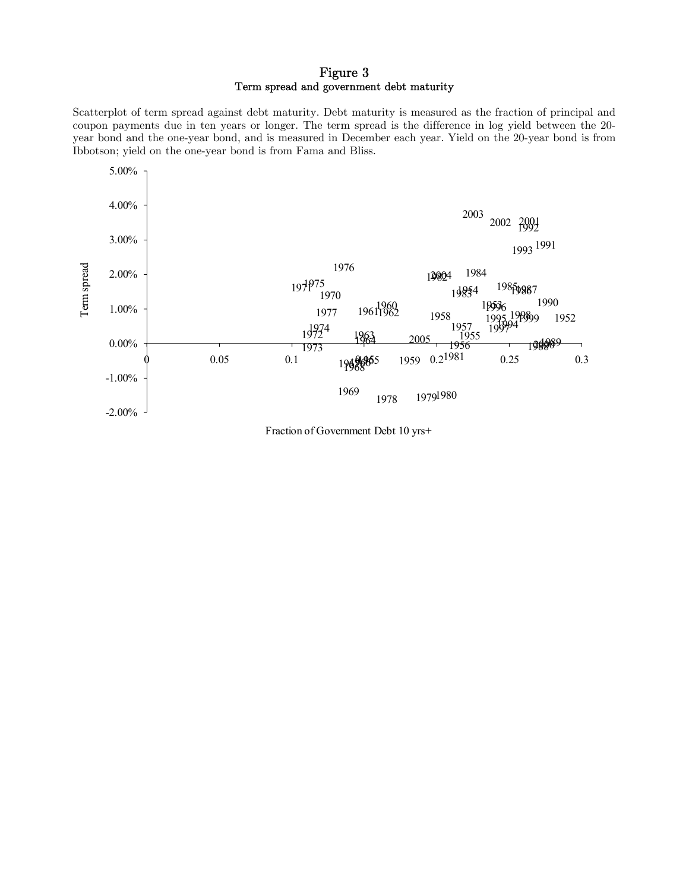### Figure 3 Term spread and government debt maturity

Scatterplot of term spread against debt maturity. Debt maturity is measured as the fraction of principal and coupon payments due in ten years or longer. The term spread is the difference in log yield between the 20 year bond and the one-year bond, and is measured in December each year. Yield on the 20-year bond is from Ibbotson; yield on the one-year bond is from Fama and Bliss.



Fraction of Government Debt 10 yrs+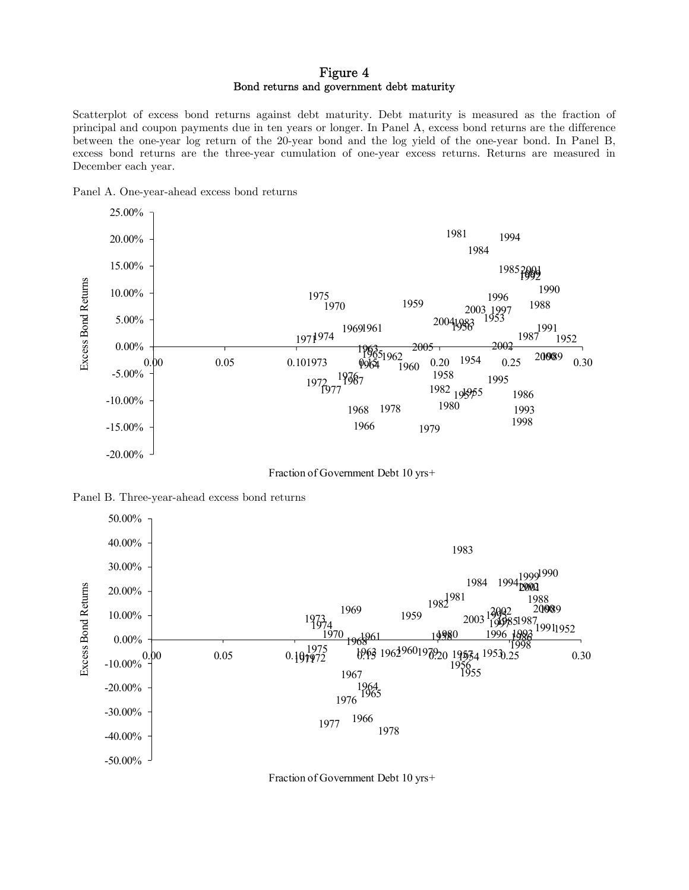### Figure 4 Bond returns and government debt maturity

Scatterplot of excess bond returns against debt maturity. Debt maturity is measured as the fraction of principal and coupon payments due in ten years or longer. In Panel A, excess bond returns are the difference between the one-year log return of the 20-year bond and the log yield of the one-year bond. In Panel B, excess bond returns are the three-year cumulation of one-year excess returns. Returns are measured in December each year.





Fraction of Government Debt 10 yrs+





Fraction of Government Debt 10 yrs+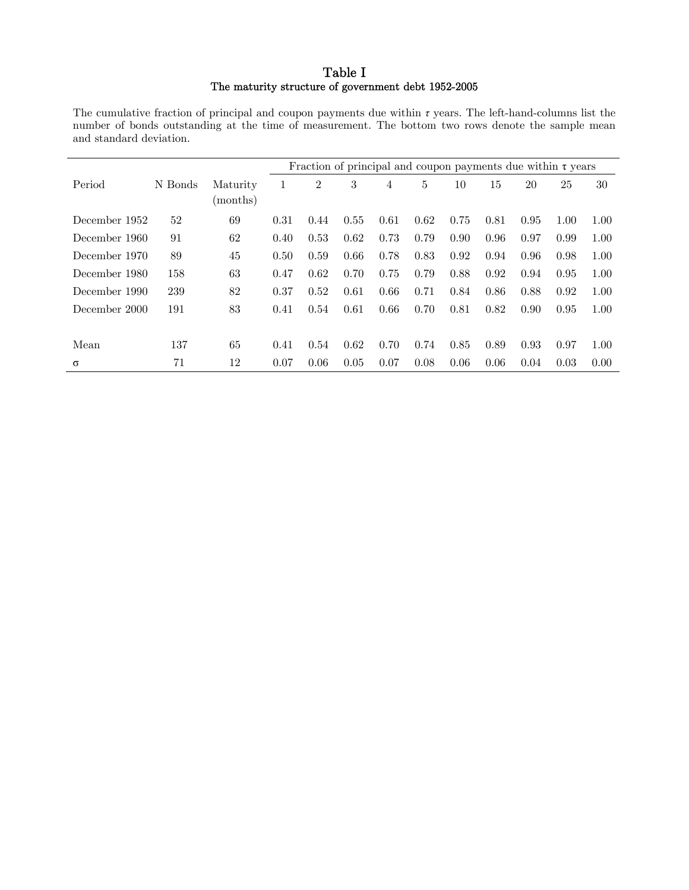### Table I The maturity structure of government debt 1952-2005

The cumulative fraction of principal and coupon payments due within *τ* years. The left-hand-columns list the number of bonds outstanding at the time of measurement. The bottom two rows denote the sample mean and standard deviation.

|               |         |                      |      |                |      |      |      |      |      | Fraction of principal and coupon payments due within $\tau$ years |      |      |
|---------------|---------|----------------------|------|----------------|------|------|------|------|------|-------------------------------------------------------------------|------|------|
| Period        | N Bonds | Maturity<br>(months) | 1    | $\overline{2}$ | 3    | 4    | 5    | 10   | 15   | 20                                                                | 25   | 30   |
| December 1952 | 52      | 69                   | 0.31 | 0.44           | 0.55 | 0.61 | 0.62 | 0.75 | 0.81 | 0.95                                                              | 1.00 | 1.00 |
| December 1960 | 91      | 62                   | 0.40 | 0.53           | 0.62 | 0.73 | 0.79 | 0.90 | 0.96 | 0.97                                                              | 0.99 | 1.00 |
| December 1970 | 89      | 45                   | 0.50 | 0.59           | 0.66 | 0.78 | 0.83 | 0.92 | 0.94 | 0.96                                                              | 0.98 | 1.00 |
| December 1980 | 158     | 63                   | 0.47 | 0.62           | 0.70 | 0.75 | 0.79 | 0.88 | 0.92 | 0.94                                                              | 0.95 | 1.00 |
| December 1990 | 239     | 82                   | 0.37 | 0.52           | 0.61 | 0.66 | 0.71 | 0.84 | 0.86 | 0.88                                                              | 0.92 | 1.00 |
| December 2000 | 191     | 83                   | 0.41 | 0.54           | 0.61 | 0.66 | 0.70 | 0.81 | 0.82 | 0.90                                                              | 0.95 | 1.00 |
|               |         |                      |      |                |      |      |      |      |      |                                                                   |      |      |
| Mean          | 137     | 65                   | 0.41 | 0.54           | 0.62 | 0.70 | 0.74 | 0.85 | 0.89 | 0.93                                                              | 0.97 | 1.00 |
| $\sigma$      | 71      | 12                   | 0.07 | 0.06           | 0.05 | 0.07 | 0.08 | 0.06 | 0.06 | 0.04                                                              | 0.03 | 0.00 |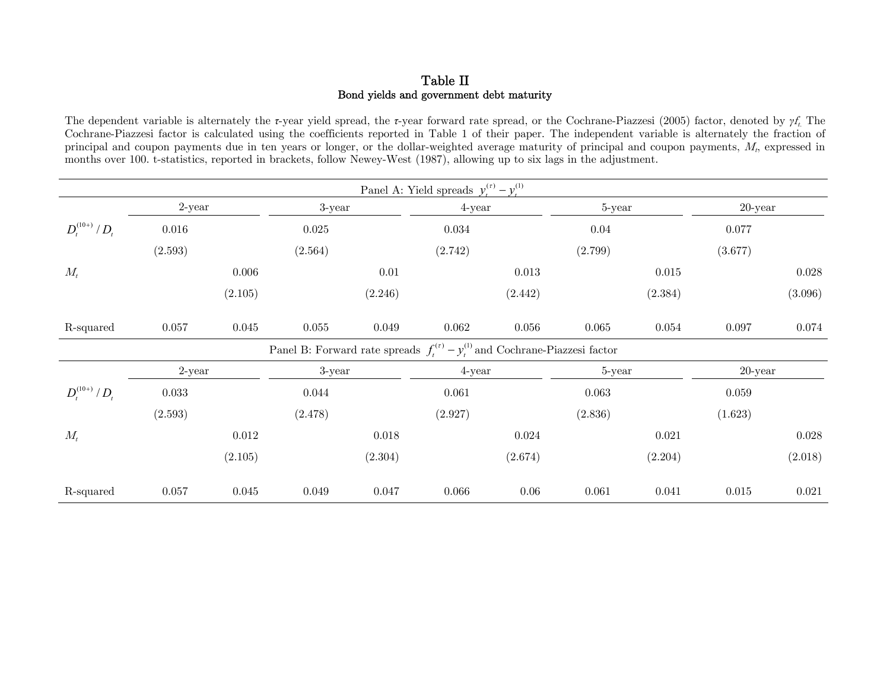### Table II Bond yields and government debt maturity

The dependent variable is alternately the *τ*-year yield spread, the *τ*-year forward rate spread, or the Cochrane-Piazzesi (2005) factor, denoted by *γ*ft. The Cochrane-Piazzesi factor is calculated using the coefficients reported in Table 1 of their paper. The independent variable is alternately the fraction of principal and coupon payments due in ten years or longer, or the dollar-weighted average maturity of principal and coupon payments,  $M_t$ , expressed in months over 100. t-statistics, reported in brackets, follow Newey-West (1987), allowing up to six lags in the adjustment.

|                     |           |         |         |         | Panel A: Yield spreads $y_t^{(r)} - y_t^{(1)}$                                     |         |         |         |            |         |
|---------------------|-----------|---------|---------|---------|------------------------------------------------------------------------------------|---------|---------|---------|------------|---------|
|                     | $2$ -year |         | 3-year  |         | 4-year                                                                             |         | 5-year  |         | $20$ -year |         |
| $D_t^{(10+)} / D_t$ | 0.016     |         | 0.025   |         | 0.034                                                                              |         | 0.04    |         | 0.077      |         |
|                     | (2.593)   |         | (2.564) |         | (2.742)                                                                            |         | (2.799) |         | (3.677)    |         |
| $M_t$               |           | 0.006   |         | 0.01    |                                                                                    | 0.013   |         | 0.015   |            | 0.028   |
|                     |           | (2.105) |         | (2.246) |                                                                                    | (2.442) |         | (2.384) |            | (3.096) |
| R-squared           | 0.057     | 0.045   | 0.055   | 0.049   | 0.062                                                                              | 0.056   | 0.065   | 0.054   | 0.097      | 0.074   |
|                     |           |         |         |         | Panel B: Forward rate spreads $f_t^{(r)} - y_t^{(l)}$ and Cochrane-Piazzesi factor |         |         |         |            |         |
|                     | $2$ -year |         | 3-year  |         | 4-year                                                                             |         | 5-year  |         | $20$ -year |         |
| $D_t^{(10+)} / D_t$ | 0.033     |         | 0.044   |         | 0.061                                                                              |         | 0.063   |         | 0.059      |         |
|                     | (2.593)   |         | (2.478) |         | (2.927)                                                                            |         | (2.836) |         | (1.623)    |         |
| $M_t$               |           | 0.012   |         | 0.018   |                                                                                    | 0.024   |         | 0.021   |            | 0.028   |
|                     |           | (2.105) |         | (2.304) |                                                                                    | (2.674) |         | (2.204) |            | (2.018) |
| R-squared           | 0.057     | 0.045   | 0.049   | 0.047   | 0.066                                                                              | 0.06    | 0.061   | 0.041   | 0.015      | 0.021   |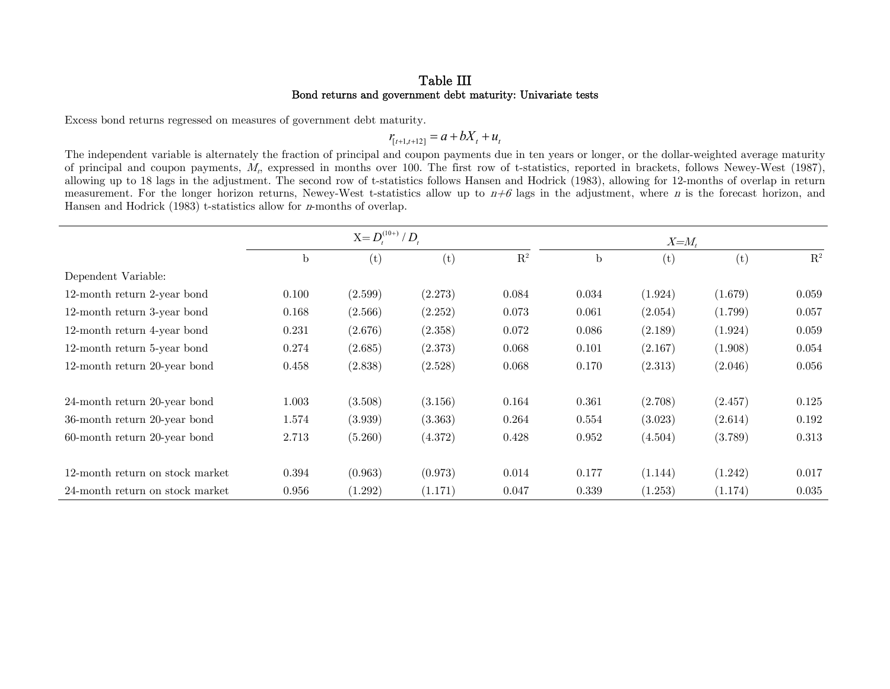### Table III Bond returns and government debt maturity: Univariate tests

Excess bond returns regressed on measures of government debt maturity.

 $r_{[t+1,t+12]} = a + bX_t + u_t$ 

The independent variable is alternately the fraction of principal and coupon payments due in ten years or longer, or the dollar-weighted average maturity of principal and coupon payments,  $M_t$ , expressed in months over 100. The first row of t-statistics, reported in brackets, follows Newey-West (1987), allowing up to 18 lags in the adjustment. The second row of t-statistics follows Hansen and Hodrick (1983), allowing for 12-months of overlap in return measurement. For the longer horizon returns, Newey-West t-statistics allow up to  $n+6$  lags in the adjustment, where n is the forecast horizon, and Hansen and Hodrick (1983) t-statistics allow for n-months of overlap.

|                                 |       | $X = D_t^{(10+)} / D_t$ |         |                |       | $X = M_t$ |         |                |
|---------------------------------|-------|-------------------------|---------|----------------|-------|-----------|---------|----------------|
|                                 | b     | (t)                     | (t)     | $\mathbf{R}^2$ | b     | (t)       | (t)     | $\mathbf{R}^2$ |
| Dependent Variable:             |       |                         |         |                |       |           |         |                |
| 12-month return 2-year bond     | 0.100 | (2.599)                 | (2.273) | 0.084          | 0.034 | (1.924)   | (1.679) | 0.059          |
| 12-month return 3-year bond     | 0.168 | (2.566)                 | (2.252) | 0.073          | 0.061 | (2.054)   | (1.799) | 0.057          |
| 12-month return 4-year bond     | 0.231 | (2.676)                 | (2.358) | 0.072          | 0.086 | (2.189)   | (1.924) | 0.059          |
| 12-month return 5-year bond     | 0.274 | (2.685)                 | (2.373) | 0.068          | 0.101 | (2.167)   | (1.908) | 0.054          |
| 12-month return 20-year bond    | 0.458 | (2.838)                 | (2.528) | 0.068          | 0.170 | (2.313)   | (2.046) | 0.056          |
| 24-month return 20-year bond    | 1.003 | (3.508)                 | (3.156) | 0.164          | 0.361 | (2.708)   | (2.457) | 0.125          |
| 36-month return 20-year bond    | 1.574 | (3.939)                 | (3.363) | 0.264          | 0.554 | (3.023)   | (2.614) | 0.192          |
| $60$ -month return 20-year bond | 2.713 | (5.260)                 | (4.372) | 0.428          | 0.952 | (4.504)   | (3.789) | 0.313          |
| 12-month return on stock market | 0.394 | (0.963)                 | (0.973) | 0.014          | 0.177 | (1.144)   | (1.242) | 0.017          |
| 24-month return on stock market | 0.956 | (1.292)                 | (1.171) | 0.047          | 0.339 | (1.253)   | (1.174) | 0.035          |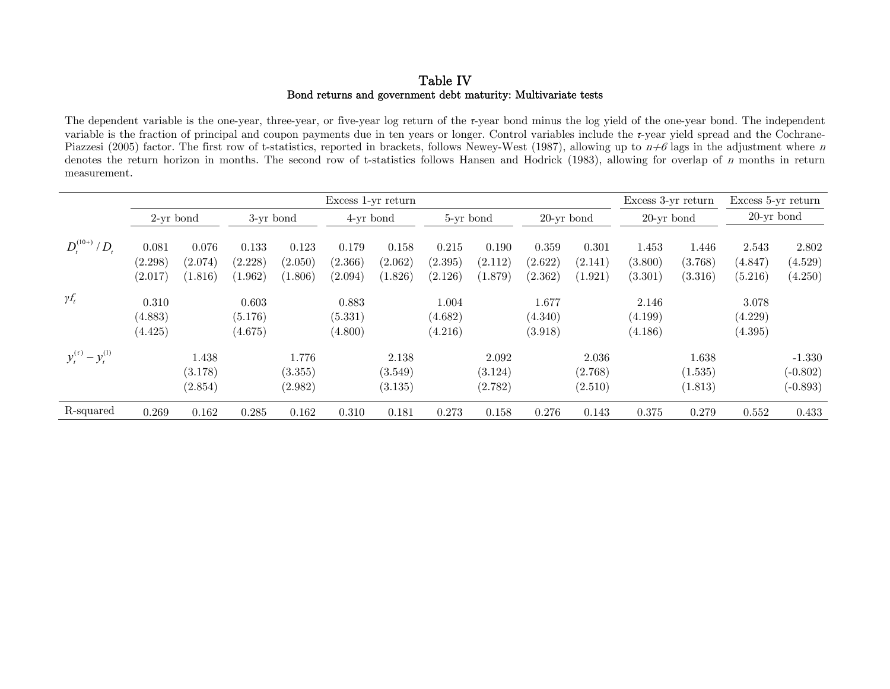### Table IV Bond returns and government debt maturity: Multivariate tests

The dependent variable is the one-year, three-year, or five-year log return of the *τ*-year bond minus the log yield of the one-year bond. The independent variable is the fraction of principal and coupon payments due in ten years or longer. Control variables include the *τ*-year yield spread and the Cochrane-Piazzesi (2005) factor. The first row of t-statistics, reported in brackets, follows Newey-West (1987), allowing up to  $n+6$  lags in the adjustment where n denotes the return horizon in months. The second row of t-statistics follows Hansen and Hodrick (1983), allowing for overlap of n months in return measurement.

|                            | Excess 1-yr return          |                             |                             |                             |                             |                             |                             |                             |                             |                             | Excess 3-yr return          |                             | Excess 5-yr return          |                                      |
|----------------------------|-----------------------------|-----------------------------|-----------------------------|-----------------------------|-----------------------------|-----------------------------|-----------------------------|-----------------------------|-----------------------------|-----------------------------|-----------------------------|-----------------------------|-----------------------------|--------------------------------------|
|                            | $2$ -yr bond                |                             | 3-yr bond                   |                             | 4-yr bond                   |                             | 5-yr bond                   |                             | $20$ -yr bond               |                             | $20$ -yr bond               |                             | $20$ -yr bond               |                                      |
| $D_t^{(10+)} / D_t$        | 0.081<br>(2.298)<br>(2.017) | 0.076<br>(2.074)<br>(1.816) | 0.133<br>(2.228)<br>(1.962) | 0.123<br>(2.050)<br>(1.806) | 0.179<br>(2.366)<br>(2.094) | 0.158<br>(2.062)<br>(1.826) | 0.215<br>(2.395)<br>(2.126) | 0.190<br>(2.112)<br>(1.879) | 0.359<br>(2.622)<br>(2.362) | 0.301<br>(2.141)<br>(1.921) | 1.453<br>(3.800)<br>(3.301) | 1.446<br>(3.768)<br>(3.316) | 2.543<br>(4.847)<br>(5.216) | 2.802<br>(4.529)<br>(4.250)          |
| $\gamma f_t$               | 0.310<br>(4.883)<br>(4.425) |                             | 0.603<br>(5.176)<br>(4.675) |                             | 0.883<br>(5.331)<br>(4.800) |                             | 1.004<br>(4.682)<br>(4.216) |                             | 1.677<br>(4.340)<br>(3.918) |                             | 2.146<br>(4.199)<br>(4.186) |                             | 3.078<br>(4.229)<br>(4.395) |                                      |
| $y_t^{(\tau)} - y_t^{(1)}$ |                             | 1.438<br>(3.178)<br>(2.854) |                             | 1.776<br>(3.355)<br>(2.982) |                             | 2.138<br>(3.549)<br>(3.135) |                             | 2.092<br>(3.124)<br>(2.782) |                             | 2.036<br>(2.768)<br>(2.510) |                             | 1.638<br>(1.535)<br>(1.813) |                             | $-1.330$<br>$(-0.802)$<br>$(-0.893)$ |
| R-squared                  | 0.269                       | 0.162                       | 0.285                       | 0.162                       | 0.310                       | 0.181                       | 0.273                       | 0.158                       | 0.276                       | 0.143                       | 0.375                       | 0.279                       | 0.552                       | 0.433                                |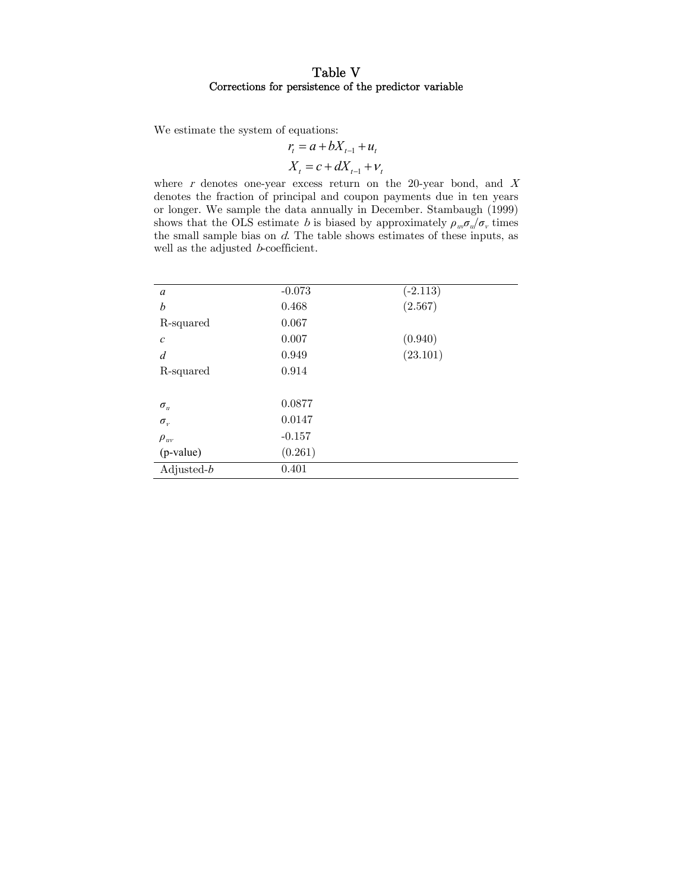### Table V Corrections for persistence of the predictor variable

We estimate the system of equations:

$$
r_{t} = a + bX_{t-1} + u_{t}
$$

$$
X_{t} = c + dX_{t-1} + v_{t}
$$

where  $r$  denotes one-year excess return on the 20-year bond, and  $X$ denotes the fraction of principal and coupon payments due in ten years or longer. We sample the data annually in December. Stambaugh (1999) shows that the OLS estimate *b* is biased by approximately  $\rho_w \sigma_w / \sigma_v$  times the small sample bias on  $d$ . The table shows estimates of these inputs, as well as the adjusted *b*-coefficient.

| a              | $-0.073$ | $(-2.113)$ |
|----------------|----------|------------|
| b              | 0.468    | (2.567)    |
| R-squared      | 0.067    |            |
| $\mathcal C$   | 0.007    | (0.940)    |
| $\overline{d}$ | 0.949    | (23.101)   |
| R-squared      | 0.914    |            |
|                |          |            |
| $\sigma_u$     | 0.0877   |            |
| $\sigma_{v}$   | 0.0147   |            |
| $\rho_{uv}$    | $-0.157$ |            |
| (p-value)      | (0.261)  |            |
| Adjusted- $b$  | 0.401    |            |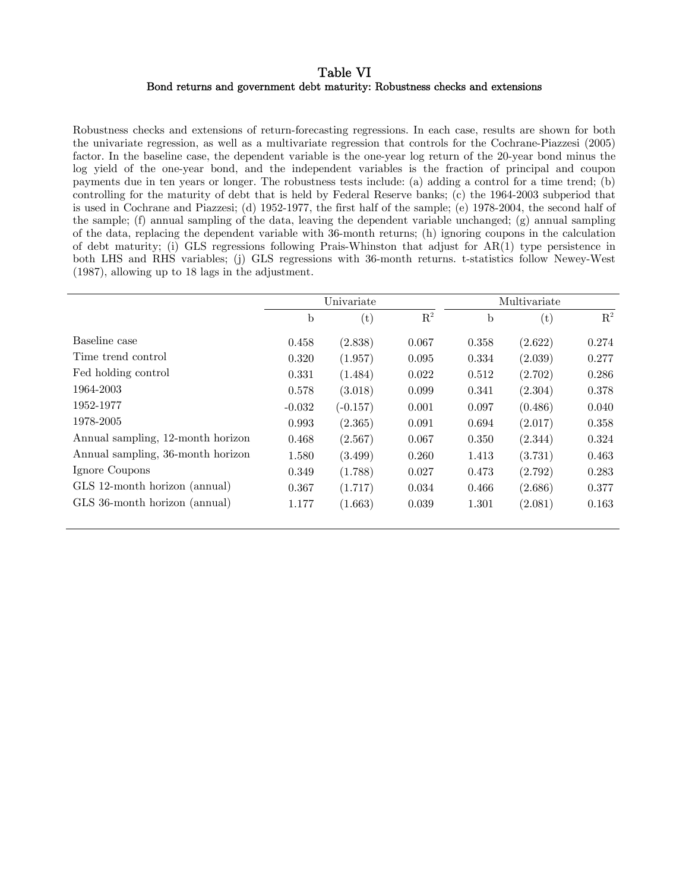### Table VI Bond returns and government debt maturity: Robustness checks and extensions

Robustness checks and extensions of return-forecasting regressions. In each case, results are shown for both the univariate regression, as well as a multivariate regression that controls for the Cochrane-Piazzesi (2005) factor. In the baseline case, the dependent variable is the one-year log return of the 20-year bond minus the log yield of the one-year bond, and the independent variables is the fraction of principal and coupon payments due in ten years or longer. The robustness tests include: (a) adding a control for a time trend; (b) controlling for the maturity of debt that is held by Federal Reserve banks; (c) the 1964-2003 subperiod that is used in Cochrane and Piazzesi; (d) 1952-1977, the first half of the sample; (e) 1978-2004, the second half of the sample; (f) annual sampling of the data, leaving the dependent variable unchanged; (g) annual sampling of the data, replacing the dependent variable with 36-month returns; (h) ignoring coupons in the calculation of debt maturity; (i) GLS regressions following Prais-Whinston that adjust for AR(1) type persistence in both LHS and RHS variables; (j) GLS regressions with 36-month returns. t-statistics follow Newey-West (1987), allowing up to 18 lags in the adjustment.

|                                   |             | Univariate   |                | Multivariate |         |                |  |
|-----------------------------------|-------------|--------------|----------------|--------------|---------|----------------|--|
|                                   | $\mathbf b$ | $^{(\rm t)}$ | $\mathbf{R}^2$ | b            | (t)     | $\mathbf{R}^2$ |  |
| Baseline case                     | 0.458       | (2.838)      | 0.067          | 0.358        | (2.622) | 0.274          |  |
| Time trend control                | 0.320       | (1.957)      | 0.095          | 0.334        | (2.039) | 0.277          |  |
| Fed holding control               | 0.331       | (1.484)      | 0.022          | 0.512        | (2.702) | 0.286          |  |
| 1964-2003                         | 0.578       | (3.018)      | 0.099          | 0.341        | (2.304) | 0.378          |  |
| 1952-1977                         | $-0.032$    | $(-0.157)$   | 0.001          | 0.097        | (0.486) | 0.040          |  |
| 1978-2005                         | 0.993       | (2.365)      | 0.091          | 0.694        | (2.017) | 0.358          |  |
| Annual sampling, 12-month horizon | 0.468       | (2.567)      | 0.067          | 0.350        | (2.344) | 0.324          |  |
| Annual sampling, 36-month horizon | 1.580       | (3.499)      | 0.260          | 1.413        | (3.731) | 0.463          |  |
| Ignore Coupons                    | 0.349       | (1.788)      | 0.027          | 0.473        | (2.792) | 0.283          |  |
| GLS 12-month horizon (annual)     | 0.367       | (1.717)      | 0.034          | 0.466        | (2.686) | 0.377          |  |
| GLS 36-month horizon (annual)     | 1.177       | (1.663)      | 0.039          | 1.301        | (2.081) | 0.163          |  |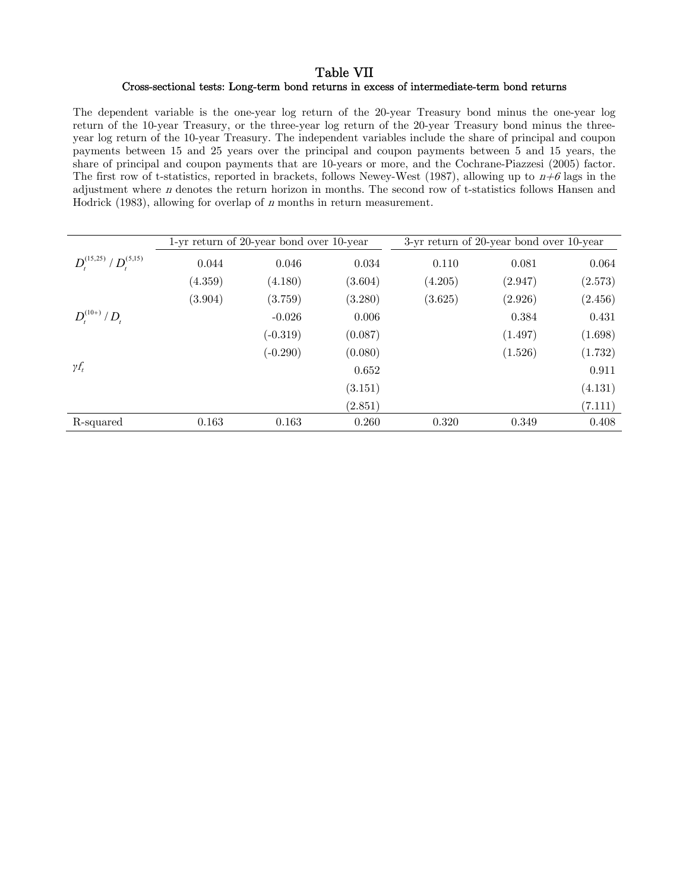### Table VII Cross-sectional tests: Long-term bond returns in excess of intermediate-term bond returns

The dependent variable is the one-year log return of the 20-year Treasury bond minus the one-year log return of the 10-year Treasury, or the three-year log return of the 20-year Treasury bond minus the threeyear log return of the 10-year Treasury. The independent variables include the share of principal and coupon payments between 15 and 25 years over the principal and coupon payments between 5 and 15 years, the share of principal and coupon payments that are 10-years or more, and the Cochrane-Piazzesi (2005) factor. The first row of t-statistics, reported in brackets, follows Newey-West (1987), allowing up to  $n+\theta$  lags in the adjustment where n denotes the return horizon in months. The second row of t-statistics follows Hansen and Hodrick  $(1983)$ , allowing for overlap of *n* months in return measurement.

|                              |         | 1-yr return of 20-year bond over 10-year |         |         | 3-yr return of 20-year bond over 10-year |         |
|------------------------------|---------|------------------------------------------|---------|---------|------------------------------------------|---------|
| $D_t^{(15,25)}/D_t^{(5,15)}$ | 0.044   | 0.046                                    | 0.034   | 0.110   | 0.081                                    | 0.064   |
|                              | (4.359) | (4.180)                                  | (3.604) | (4.205) | (2.947)                                  | (2.573) |
|                              | (3.904) | (3.759)                                  | (3.280) | (3.625) | (2.926)                                  | (2.456) |
| $D_t^{(10+)} / D_t$          |         | $-0.026$                                 | 0.006   |         | 0.384                                    | 0.431   |
|                              |         | $(-0.319)$                               | (0.087) |         | (1.497)                                  | (1.698) |
|                              |         | $(-0.290)$                               | (0.080) |         | (1.526)                                  | (1.732) |
| $\gamma f_t$                 |         |                                          | 0.652   |         |                                          | 0.911   |
|                              |         |                                          | (3.151) |         |                                          | (4.131) |
|                              |         |                                          | (2.851) |         |                                          | (7.111) |
| R-squared                    | 0.163   | 0.163                                    | 0.260   | 0.320   | 0.349                                    | 0.408   |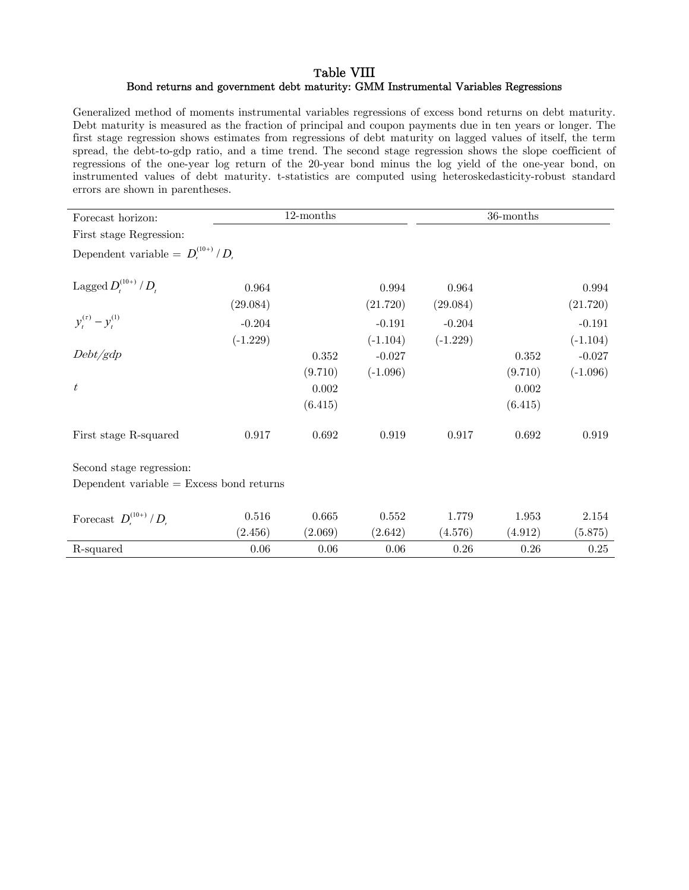### Table VIII Bond returns and government debt maturity: GMM Instrumental Variables Regressions

Generalized method of moments instrumental variables regressions of excess bond returns on debt maturity. Debt maturity is measured as the fraction of principal and coupon payments due in ten years or longer. The first stage regression shows estimates from regressions of debt maturity on lagged values of itself, the term spread, the debt-to-gdp ratio, and a time trend. The second stage regression shows the slope coefficient of regressions of the one-year log return of the 20-year bond minus the log yield of the one-year bond, on instrumented values of debt maturity. t-statistics are computed using heteroskedasticity-robust standard errors are shown in parentheses.

| Forecast horizon:                                  |            | $12$ -months |             |            | 36-months |            |
|----------------------------------------------------|------------|--------------|-------------|------------|-----------|------------|
| First stage Regression:                            |            |              |             |            |           |            |
| Dependent variable = $D_{\cdot}^{(10+)}/D_{\cdot}$ |            |              |             |            |           |            |
| Lagged $D_{t}^{(10+)} / D_{t}$                     | 0.964      |              | 0.994       | 0.964      |           | 0.994      |
|                                                    | (29.084)   |              | (21.720)    | (29.084)   |           | (21.720)   |
| $y_t^{(\tau)} - y_t^{(1)}$                         | $-0.204$   |              | $-0.191$    | $-0.204$   |           | $-0.191$   |
|                                                    | $(-1.229)$ |              | $(-1.104)$  | $(-1.229)$ |           | $(-1.104)$ |
| Debt/gdp                                           |            | 0.352        | $-0.027$    |            | 0.352     | $-0.027$   |
|                                                    |            | (9.710)      | $(-1.096)$  |            | (9.710)   | $(-1.096)$ |
| $t\$                                               |            | 0.002        |             |            | 0.002     |            |
|                                                    |            | (6.415)      |             |            | (6.415)   |            |
| First stage R-squared                              | 0.917      | 0.692        | $\,0.919\,$ | 0.917      | 0.692     | 0.919      |
| Second stage regression:                           |            |              |             |            |           |            |
| Dependent variable $=$ Excess bond returns         |            |              |             |            |           |            |
|                                                    |            |              |             |            |           |            |
| Forecast $D_t^{(10+)} / D_t$                       | $0.516\,$  | 0.665        | 0.552       | 1.779      | 1.953     | 2.154      |
|                                                    | (2.456)    | (2.069)      | (2.642)     | (4.576)    | (4.912)   | (5.875)    |
| R-squared                                          | 0.06       | 0.06         | 0.06        | 0.26       | 0.26      | 0.25       |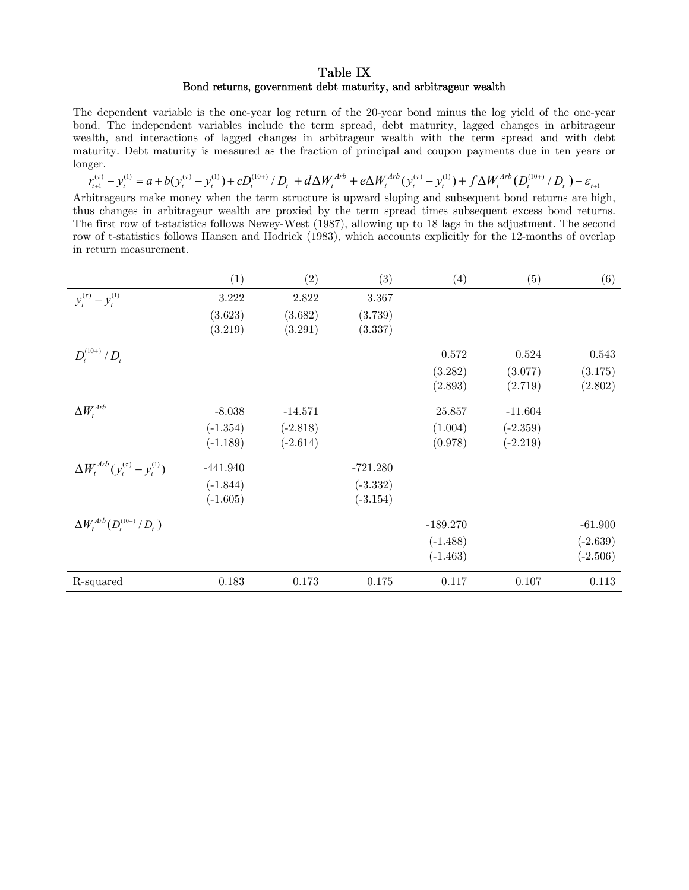### Table IX Bond returns, government debt maturity, and arbitrageur wealth

The dependent variable is the one-year log return of the 20-year bond minus the log yield of the one-year bond. The independent variables include the term spread, debt maturity, lagged changes in arbitrageur wealth, and interactions of lagged changes in arbitrageur wealth with the term spread and with debt maturity. Debt maturity is measured as the fraction of principal and coupon payments due in ten years or longer.

 $r_{t+1}^{(r)} - y_t^{(1)} = a + b(y_t^{(r)} - y_t^{(1)}) + cD_t^{(10+)} / D_t + d\Delta W_t^{Arb} + e\Delta W_t^{Arb} (y_t^{(r)} - y_t^{(1)}) + f\Delta W_t^{Arb} (D_t^{(10+)} / D_t) + \varepsilon_{t+1}$ 

Arbitrageurs make money when the term structure is upward sloping and subsequent bond returns are high, thus changes in arbitrageur wealth are proxied by the term spread times subsequent excess bond returns. The first row of t-statistics follows Newey-West (1987), allowing up to 18 lags in the adjustment. The second row of t-statistics follows Hansen and Hodrick (1983), which accounts explicitly for the 12-months of overlap in return measurement.

|                                               | (1)        | (2)        | (3)        | (4)        | (5)        | (6)        |
|-----------------------------------------------|------------|------------|------------|------------|------------|------------|
| $y_t^{(\tau)} - y_t^{(1)}$                    | 3.222      | 2.822      | 3.367      |            |            |            |
|                                               | (3.623)    | (3.682)    | (3.739)    |            |            |            |
|                                               | (3.219)    | (3.291)    | (3.337)    |            |            |            |
| $D_t^{(10+)} / D_t$                           |            |            |            | 0.572      | 0.524      | 0.543      |
|                                               |            |            |            | (3.282)    | (3.077)    | (3.175)    |
|                                               |            |            |            | (2.893)    | (2.719)    | (2.802)    |
| $\Delta W_t^{Arb}$                            | $-8.038$   | $-14.571$  |            | 25.857     | $-11.604$  |            |
|                                               | $(-1.354)$ | $(-2.818)$ |            | (1.004)    | $(-2.359)$ |            |
|                                               | $(-1.189)$ | $(-2.614)$ |            | (0.978)    | $(-2.219)$ |            |
| $\Delta W_t^{Arb} (y_t^{(\tau)} - y_t^{(1)})$ | $-441.940$ |            | $-721.280$ |            |            |            |
|                                               | $(-1.844)$ |            | $(-3.332)$ |            |            |            |
|                                               | $(-1.605)$ |            | $(-3.154)$ |            |            |            |
| $\Delta W_t^{Arb}(D_t^{(10+)}/D_t)$           |            |            |            | $-189.270$ |            | $-61.900$  |
|                                               |            |            |            | $(-1.488)$ |            | $(-2.639)$ |
|                                               |            |            |            | $(-1.463)$ |            | $(-2.506)$ |
| R-squared                                     | $0.183\,$  | 0.173      | 0.175      | 0.117      | 0.107      | 0.113      |